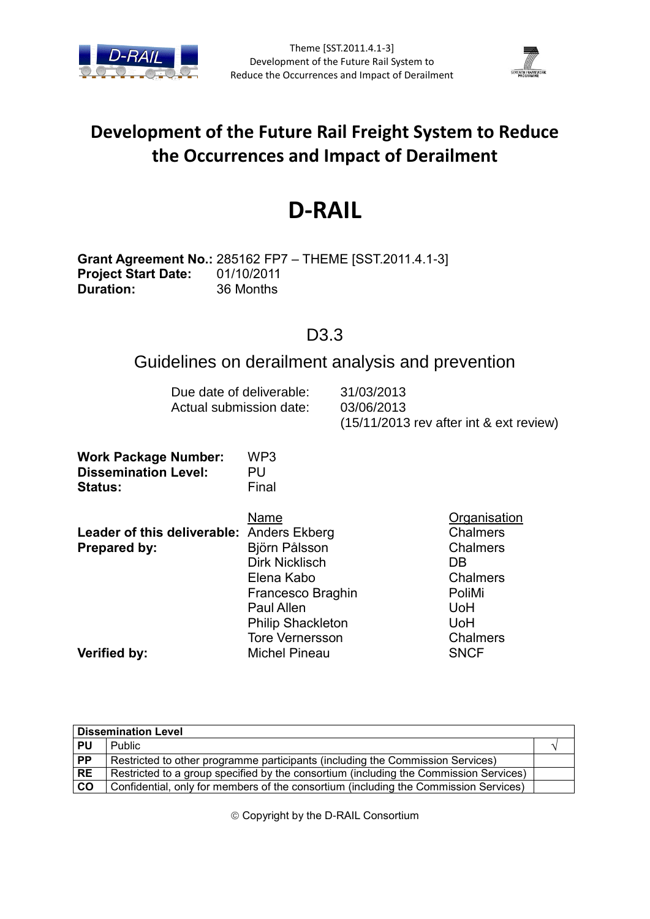



# **Development of the Future Rail Freight System to Reduce the Occurrences and Impact of Derailment**

# **D-RAIL**

**Grant Agreement No.:** 285162 FP7 – THEME [SST.2011.4.1-3] **Project Start Date:** 01/10/2011 **Duration:** 36 Months

# D3.3

# Guidelines on derailment analysis and prevention

| Due date of deliverable: | 31/03/2013                                |
|--------------------------|-------------------------------------------|
| Actual submission date:  | 03/06/2013                                |
|                          | $(15/11/2013$ rev after int & ext review) |

| <b>Work Package Number:</b> | WP3   |
|-----------------------------|-------|
| <b>Dissemination Level:</b> | PU    |
| <b>Status:</b>              | Final |

| Leader of this deliverable: Anders Ekberg<br>Prepared by: | Name<br>Björn Pålsson<br><b>Dirk Nicklisch</b><br>Elena Kabo                                                  | Organisation<br><b>Chalmers</b><br><b>Chalmers</b><br>DB<br><b>Chalmers</b> |
|-----------------------------------------------------------|---------------------------------------------------------------------------------------------------------------|-----------------------------------------------------------------------------|
| Verified by:                                              | Francesco Braghin<br>Paul Allen<br><b>Philip Shackleton</b><br><b>Tore Vernersson</b><br><b>Michel Pineau</b> | PoliMi<br><b>UoH</b><br>UoH<br><b>Chalmers</b><br><b>SNCF</b>               |

| <b>Dissemination Level</b> |                                                                                       |  |
|----------------------------|---------------------------------------------------------------------------------------|--|
| <b>PU</b>                  | <b>Public</b>                                                                         |  |
| $\overline{PP}$            | Restricted to other programme participants (including the Commission Services)        |  |
| <b>RE</b>                  | Restricted to a group specified by the consortium (including the Commission Services) |  |
| co                         | Confidential, only for members of the consortium (including the Commission Services)  |  |

Copyright by the D-RAIL Consortium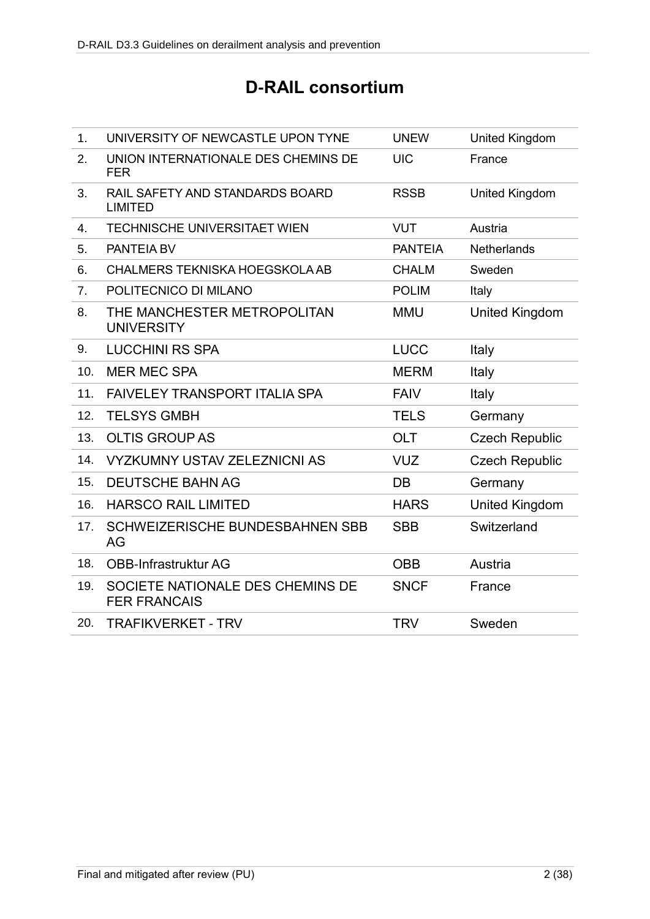# **D-RAIL consortium**

| 1.               | UNIVERSITY OF NEWCASTLE UPON TYNE                       | <b>UNEW</b>    | United Kingdom        |
|------------------|---------------------------------------------------------|----------------|-----------------------|
| 2.               | UNION INTERNATIONALE DES CHEMINS DE<br><b>FER</b>       | <b>UIC</b>     | France                |
| 3.               | RAIL SAFETY AND STANDARDS BOARD<br><b>LIMITED</b>       | <b>RSSB</b>    | <b>United Kingdom</b> |
| $\overline{4}$ . | TECHNISCHE UNIVERSITAET WIEN                            | <b>VUT</b>     | Austria               |
| 5.               | <b>PANTEIA BV</b>                                       | <b>PANTEIA</b> | Netherlands           |
| 6.               | <b>CHALMERS TEKNISKA HOEGSKOLA AB</b>                   | <b>CHALM</b>   | Sweden                |
| 7 <sub>1</sub>   | POLITECNICO DI MILANO                                   | <b>POLIM</b>   | Italy                 |
| 8.               | THE MANCHESTER METROPOLITAN<br><b>UNIVERSITY</b>        | <b>MMU</b>     | <b>United Kingdom</b> |
| 9.               | <b>LUCCHINI RS SPA</b>                                  | <b>LUCC</b>    | Italy                 |
| 10.              | <b>MER MEC SPA</b>                                      | <b>MERM</b>    | Italy                 |
| 11.              | <b>FAIVELEY TRANSPORT ITALIA SPA</b>                    | <b>FAIV</b>    | Italy                 |
| 12.              | <b>TELSYS GMBH</b>                                      | <b>TELS</b>    | Germany               |
| 13.              | <b>OLTIS GROUP AS</b>                                   | <b>OLT</b>     | <b>Czech Republic</b> |
| 14.              | <b>VYZKUMNY USTAV ZELEZNICNI AS</b>                     | <b>VUZ</b>     | <b>Czech Republic</b> |
| 15.              | <b>DEUTSCHE BAHN AG</b>                                 | DB             | Germany               |
| 16.              | <b>HARSCO RAIL LIMITED</b>                              | <b>HARS</b>    | <b>United Kingdom</b> |
| 17.              | SCHWEIZERISCHE BUNDESBAHNEN SBB<br>AG                   | <b>SBB</b>     | Switzerland           |
| 18.              | OBB-Infrastruktur AG                                    | <b>OBB</b>     | Austria               |
| 19.              | SOCIETE NATIONALE DES CHEMINS DE<br><b>FER FRANCAIS</b> | <b>SNCF</b>    | France                |
| 20.              | <b>TRAFIKVERKET - TRV</b>                               | <b>TRV</b>     | Sweden                |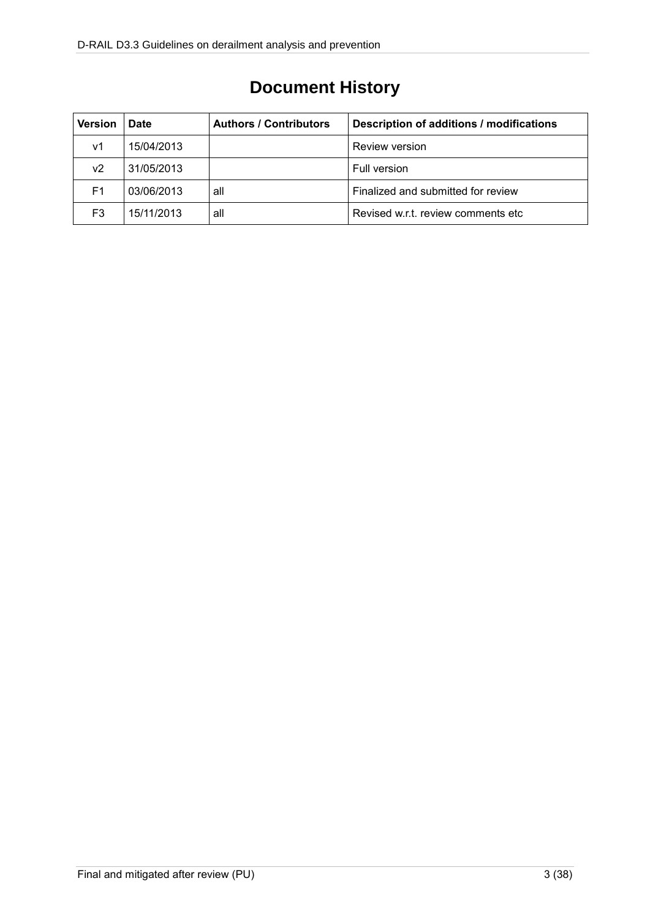# **Document History**

| <b>Version</b> | <b>Date</b> | <b>Authors / Contributors</b> | Description of additions / modifications |
|----------------|-------------|-------------------------------|------------------------------------------|
| ۷1             | 15/04/2013  |                               | Review version                           |
| ν2             | 31/05/2013  |                               | Full version                             |
| F1             | 03/06/2013  | all                           | Finalized and submitted for review       |
| F3             | 15/11/2013  | all                           | Revised w.r.t. review comments etc.      |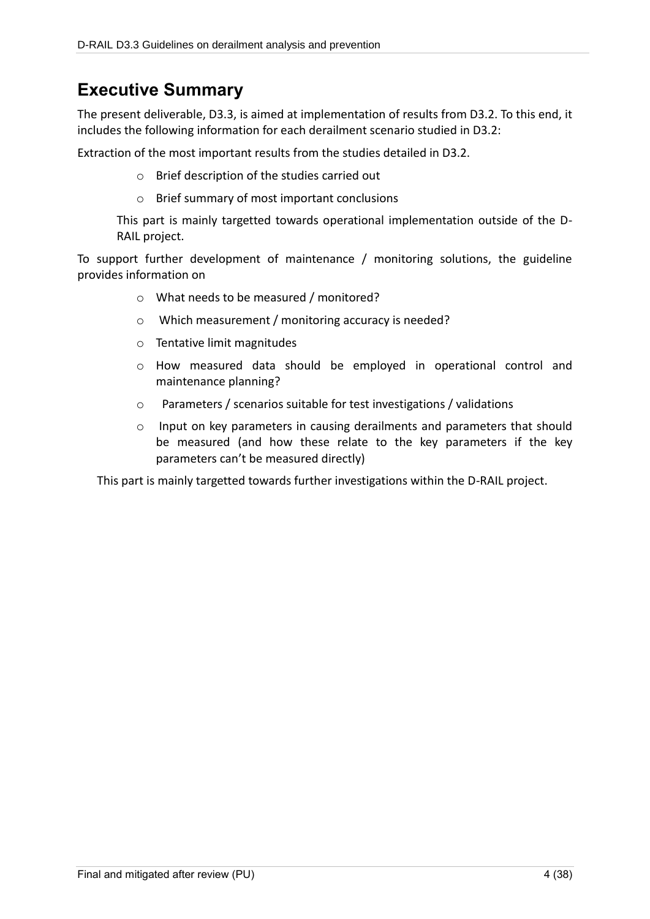# **Executive Summary**

The present deliverable, D3.3, is aimed at implementation of results from D3.2. To this end, it includes the following information for each derailment scenario studied in D3.2:

Extraction of the most important results from the studies detailed in D3.2.

- o Brief description of the studies carried out
- o Brief summary of most important conclusions

This part is mainly targetted towards operational implementation outside of the D-RAIL project.

To support further development of maintenance / monitoring solutions, the guideline provides information on

- o What needs to be measured / monitored?
- o Which measurement / monitoring accuracy is needed?
- o Tentative limit magnitudes
- o How measured data should be employed in operational control and maintenance planning?
- o Parameters / scenarios suitable for test investigations / validations
- o Input on key parameters in causing derailments and parameters that should be measured (and how these relate to the key parameters if the key parameters can't be measured directly)

This part is mainly targetted towards further investigations within the D-RAIL project.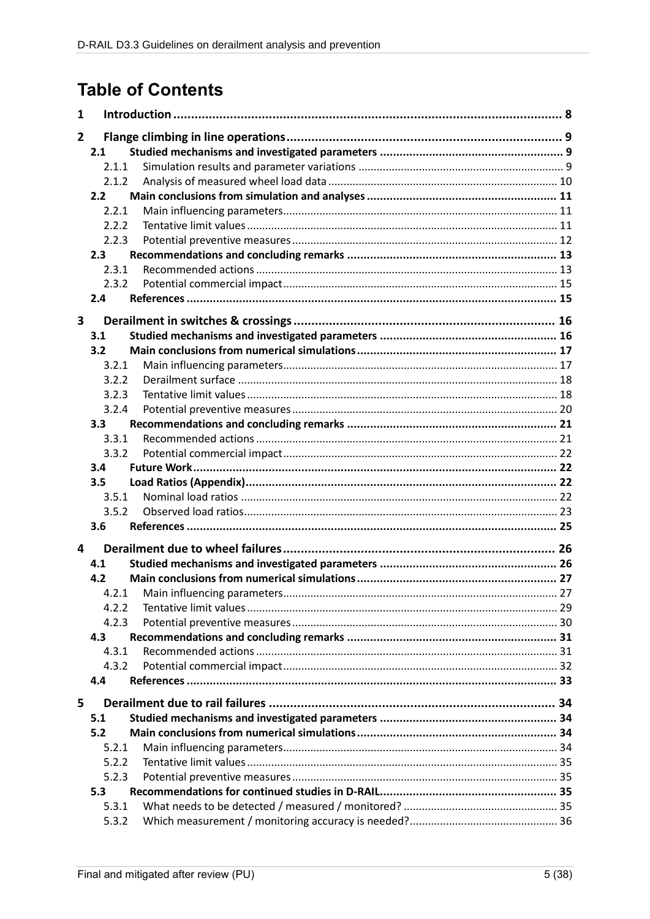# **Table of Contents**

| 1            |       |  |
|--------------|-------|--|
| $\mathbf{2}$ |       |  |
|              | 2.1   |  |
|              | 2.1.1 |  |
|              | 2.1.2 |  |
|              | 2.2   |  |
|              | 2.2.1 |  |
|              | 2.2.2 |  |
|              | 2.2.3 |  |
|              | 2.3   |  |
|              | 2.3.1 |  |
|              | 2.3.2 |  |
|              | 2.4   |  |
| 3            |       |  |
|              | 3.1   |  |
|              | 3.2   |  |
|              | 3.2.1 |  |
|              | 3.2.2 |  |
|              | 3.2.3 |  |
|              | 3.2.4 |  |
|              | 3.3   |  |
|              | 3.3.1 |  |
|              | 3.3.2 |  |
|              | 3.4   |  |
|              | 3.5   |  |
|              | 3.5.1 |  |
|              | 3.5.2 |  |
|              | 3.6   |  |
|              |       |  |
| 4            |       |  |
|              | 4.1   |  |
|              | 4.2   |  |
|              | 4.2.1 |  |
|              | 4.2.2 |  |
|              | 4.2.3 |  |
|              | 4.3   |  |
|              | 4.3.1 |  |
|              | 4.3.2 |  |
|              | 4.4   |  |
| 5            |       |  |
|              | 5.1   |  |
|              | 5.2   |  |
|              | 5.2.1 |  |
|              | 5.2.2 |  |
|              | 5.2.3 |  |
|              | 5.3   |  |
|              | 5.3.1 |  |
|              | 5.3.2 |  |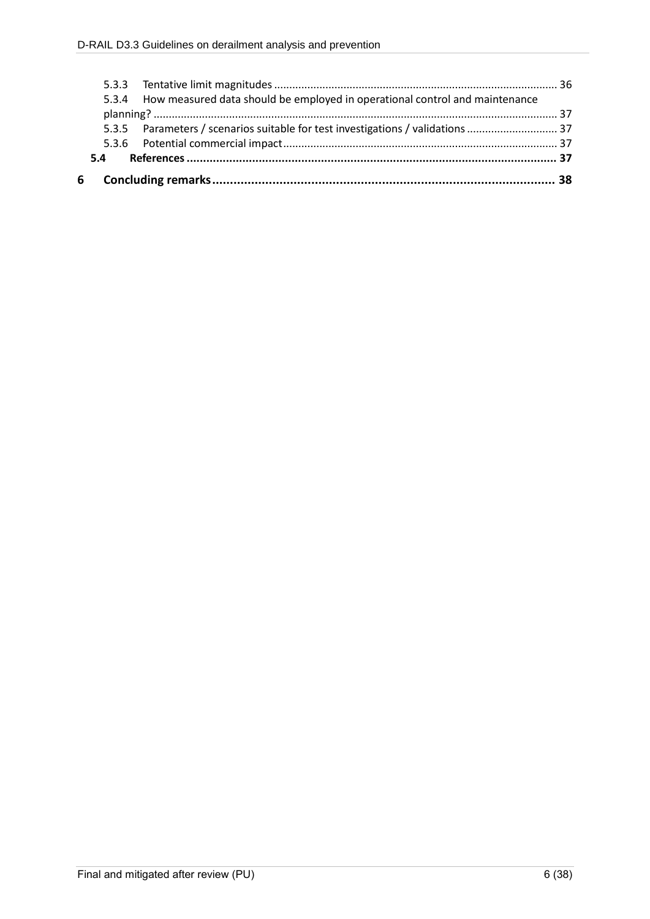| 6 |                                                                                   |  |
|---|-----------------------------------------------------------------------------------|--|
|   |                                                                                   |  |
|   |                                                                                   |  |
|   | 5.3.5 Parameters / scenarios suitable for test investigations / validations  37   |  |
|   |                                                                                   |  |
|   | 5.3.4 How measured data should be employed in operational control and maintenance |  |
|   |                                                                                   |  |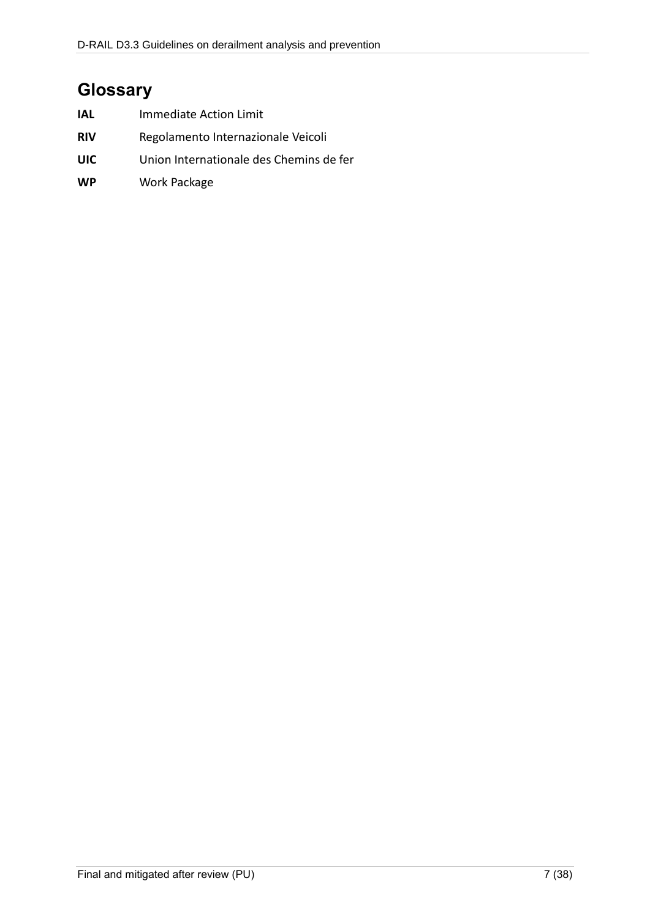# **Glossary**

| IAL | Immediate Action Limit                  |
|-----|-----------------------------------------|
| RIV | Regolamento Internazionale Veicoli      |
| UIC | Union Internationale des Chemins de fer |
| WP  | Work Package                            |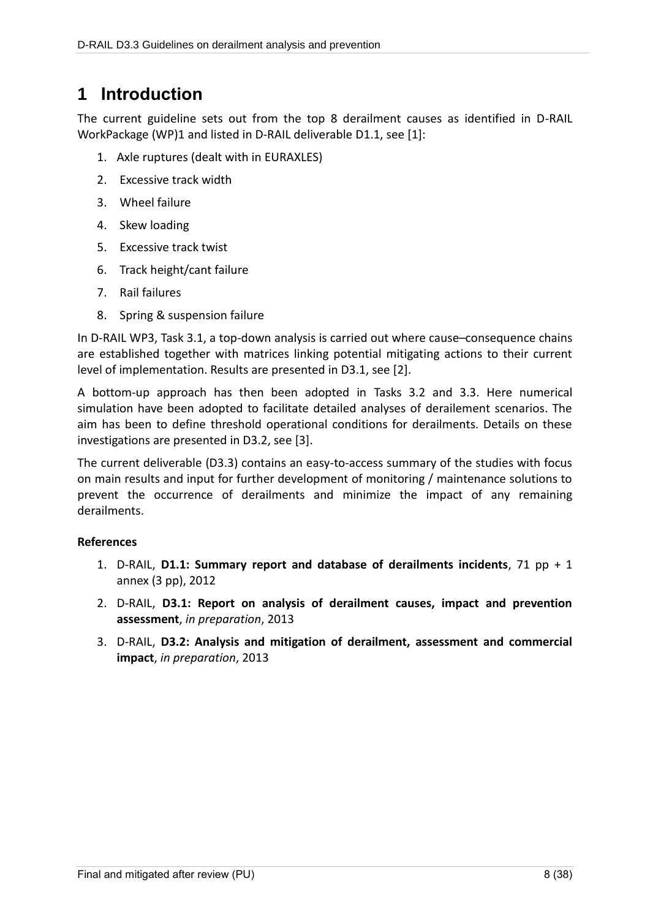# **1 Introduction**

The current guideline sets out from the top 8 derailment causes as identified in D-RAIL WorkPackage (WP)1 and listed in D-RAIL deliverable D1.1, see [1]:

- 1. Axle ruptures (dealt with in EURAXLES)
- 2. Excessive track width
- 3. Wheel failure
- 4. Skew loading
- 5. Excessive track twist
- 6. Track height/cant failure
- 7. Rail failures
- 8. Spring & suspension failure

In D-RAIL WP3, Task 3.1, a top-down analysis is carried out where cause–consequence chains are established together with matrices linking potential mitigating actions to their current level of implementation. Results are presented in D3.1, see [2].

A bottom-up approach has then been adopted in Tasks 3.2 and 3.3. Here numerical simulation have been adopted to facilitate detailed analyses of derailement scenarios. The aim has been to define threshold operational conditions for derailments. Details on these investigations are presented in D3.2, see [3].

The current deliverable (D3.3) contains an easy-to-access summary of the studies with focus on main results and input for further development of monitoring / maintenance solutions to prevent the occurrence of derailments and minimize the impact of any remaining derailments.

### **References**

- 1. D-RAIL, **D1.1: Summary report and database of derailments incidents**, 71 pp + 1 annex (3 pp), 2012
- 2. D-RAIL, **D3.1: Report on analysis of derailment causes, impact and prevention assessment**, *in preparation*, 2013
- 3. D-RAIL, **D3.2: Analysis and mitigation of derailment, assessment and commercial impact**, *in preparation*, 2013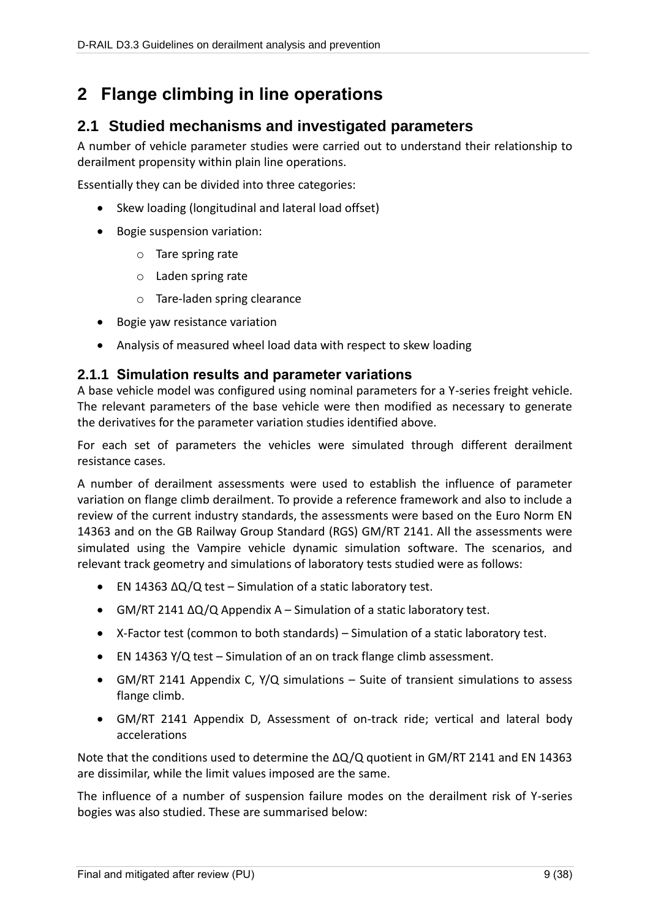# **2 Flange climbing in line operations**

# **2.1 Studied mechanisms and investigated parameters**

A number of vehicle parameter studies were carried out to understand their relationship to derailment propensity within plain line operations.

Essentially they can be divided into three categories:

- Skew loading (longitudinal and lateral load offset)
- Bogie suspension variation:
	- o Tare spring rate
	- o Laden spring rate
	- o Tare-laden spring clearance
- Bogie yaw resistance variation
- Analysis of measured wheel load data with respect to skew loading

### **2.1.1 Simulation results and parameter variations**

A base vehicle model was configured using nominal parameters for a Y-series freight vehicle. The relevant parameters of the base vehicle were then modified as necessary to generate the derivatives for the parameter variation studies identified above.

For each set of parameters the vehicles were simulated through different derailment resistance cases.

A number of derailment assessments were used to establish the influence of parameter variation on flange climb derailment. To provide a reference framework and also to include a review of the current industry standards, the assessments were based on the Euro Norm EN 14363 and on the GB Railway Group Standard (RGS) GM/RT 2141. All the assessments were simulated using the Vampire vehicle dynamic simulation software. The scenarios, and relevant track geometry and simulations of laboratory tests studied were as follows:

- EN 14363 ΔQ/Q test Simulation of a static laboratory test.
- GM/RT 2141 ΔQ/Q Appendix A Simulation of a static laboratory test.
- X-Factor test (common to both standards) Simulation of a static laboratory test.
- EN 14363 Y/Q test Simulation of an on track flange climb assessment.
- GM/RT 2141 Appendix C, Y/Q simulations Suite of transient simulations to assess flange climb.
- GM/RT 2141 Appendix D, Assessment of on-track ride; vertical and lateral body accelerations

Note that the conditions used to determine the ΔQ/Q quotient in GM/RT 2141 and EN 14363 are dissimilar, while the limit values imposed are the same.

The influence of a number of suspension failure modes on the derailment risk of Y-series bogies was also studied. These are summarised below: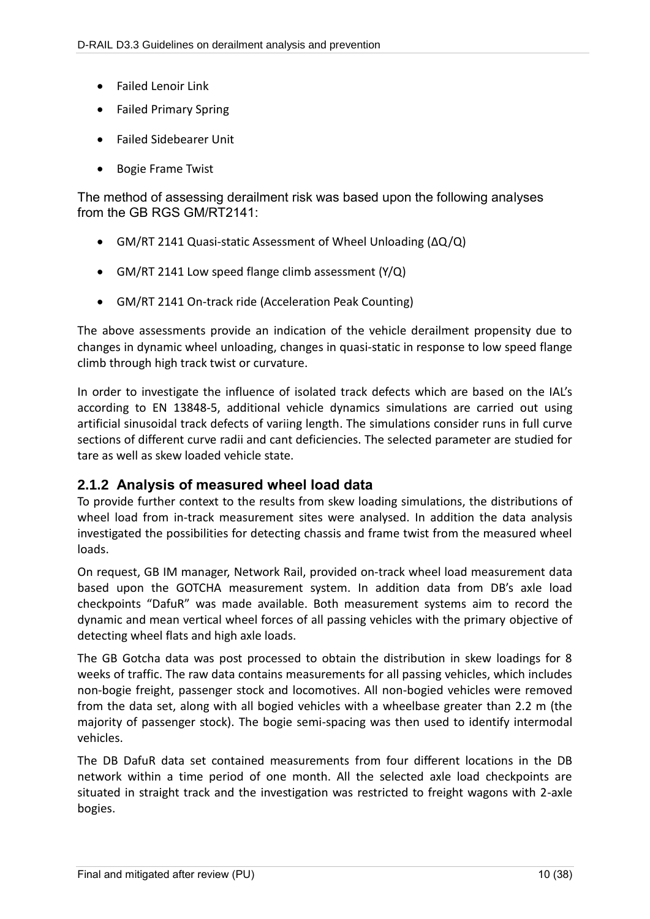- Failed Lenoir Link
- Failed Primary Spring
- Failed Sidebearer Unit
- Bogie Frame Twist

The method of assessing derailment risk was based upon the following analyses from the GB RGS GM/RT2141:

- GM/RT 2141 Quasi-static Assessment of Wheel Unloading (ΔQ/Q)
- GM/RT 2141 Low speed flange climb assessment (Y/Q)
- GM/RT 2141 On-track ride (Acceleration Peak Counting)

The above assessments provide an indication of the vehicle derailment propensity due to changes in dynamic wheel unloading, changes in quasi-static in response to low speed flange climb through high track twist or curvature.

In order to investigate the influence of isolated track defects which are based on the IAL's according to EN 13848-5, additional vehicle dynamics simulations are carried out using artificial sinusoidal track defects of variing length. The simulations consider runs in full curve sections of different curve radii and cant deficiencies. The selected parameter are studied for tare as well as skew loaded vehicle state.

### **2.1.2 Analysis of measured wheel load data**

To provide further context to the results from skew loading simulations, the distributions of wheel load from in-track measurement sites were analysed. In addition the data analysis investigated the possibilities for detecting chassis and frame twist from the measured wheel loads.

On request, GB IM manager, Network Rail, provided on-track wheel load measurement data based upon the GOTCHA measurement system. In addition data from DB's axle load checkpoints "DafuR" was made available. Both measurement systems aim to record the dynamic and mean vertical wheel forces of all passing vehicles with the primary objective of detecting wheel flats and high axle loads.

The GB Gotcha data was post processed to obtain the distribution in skew loadings for 8 weeks of traffic. The raw data contains measurements for all passing vehicles, which includes non-bogie freight, passenger stock and locomotives. All non-bogied vehicles were removed from the data set, along with all bogied vehicles with a wheelbase greater than 2.2 m (the majority of passenger stock). The bogie semi-spacing was then used to identify intermodal vehicles.

The DB DafuR data set contained measurements from four different locations in the DB network within a time period of one month. All the selected axle load checkpoints are situated in straight track and the investigation was restricted to freight wagons with 2-axle bogies.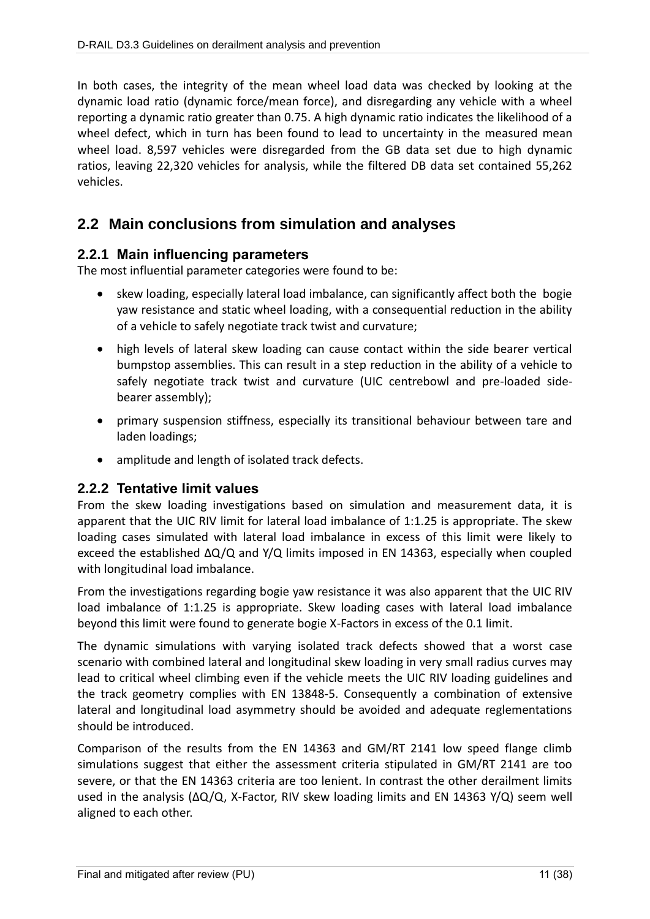In both cases, the integrity of the mean wheel load data was checked by looking at the dynamic load ratio (dynamic force/mean force), and disregarding any vehicle with a wheel reporting a dynamic ratio greater than 0.75. A high dynamic ratio indicates the likelihood of a wheel defect, which in turn has been found to lead to uncertainty in the measured mean wheel load. 8,597 vehicles were disregarded from the GB data set due to high dynamic ratios, leaving 22,320 vehicles for analysis, while the filtered DB data set contained 55,262 vehicles.

# **2.2 Main conclusions from simulation and analyses**

### **2.2.1 Main influencing parameters**

The most influential parameter categories were found to be:

- skew loading, especially lateral load imbalance, can significantly affect both the bogie yaw resistance and static wheel loading, with a consequential reduction in the ability of a vehicle to safely negotiate track twist and curvature;
- high levels of lateral skew loading can cause contact within the side bearer vertical bumpstop assemblies. This can result in a step reduction in the ability of a vehicle to safely negotiate track twist and curvature (UIC centrebowl and pre-loaded sidebearer assembly);
- primary suspension stiffness, especially its transitional behaviour between tare and laden loadings;
- amplitude and length of isolated track defects.

### **2.2.2 Tentative limit values**

From the skew loading investigations based on simulation and measurement data, it is apparent that the UIC RIV limit for lateral load imbalance of 1:1.25 is appropriate. The skew loading cases simulated with lateral load imbalance in excess of this limit were likely to exceed the established ΔQ/Q and Y/Q limits imposed in EN 14363, especially when coupled with longitudinal load imbalance.

From the investigations regarding bogie yaw resistance it was also apparent that the UIC RIV load imbalance of 1:1.25 is appropriate. Skew loading cases with lateral load imbalance beyond this limit were found to generate bogie X-Factors in excess of the 0.1 limit.

The dynamic simulations with varying isolated track defects showed that a worst case scenario with combined lateral and longitudinal skew loading in very small radius curves may lead to critical wheel climbing even if the vehicle meets the UIC RIV loading guidelines and the track geometry complies with EN 13848-5. Consequently a combination of extensive lateral and longitudinal load asymmetry should be avoided and adequate reglementations should be introduced.

Comparison of the results from the EN 14363 and GM/RT 2141 low speed flange climb simulations suggest that either the assessment criteria stipulated in GM/RT 2141 are too severe, or that the EN 14363 criteria are too lenient. In contrast the other derailment limits used in the analysis ( $\Delta Q/Q$ , X-Factor, RIV skew loading limits and EN 14363 Y/Q) seem well aligned to each other.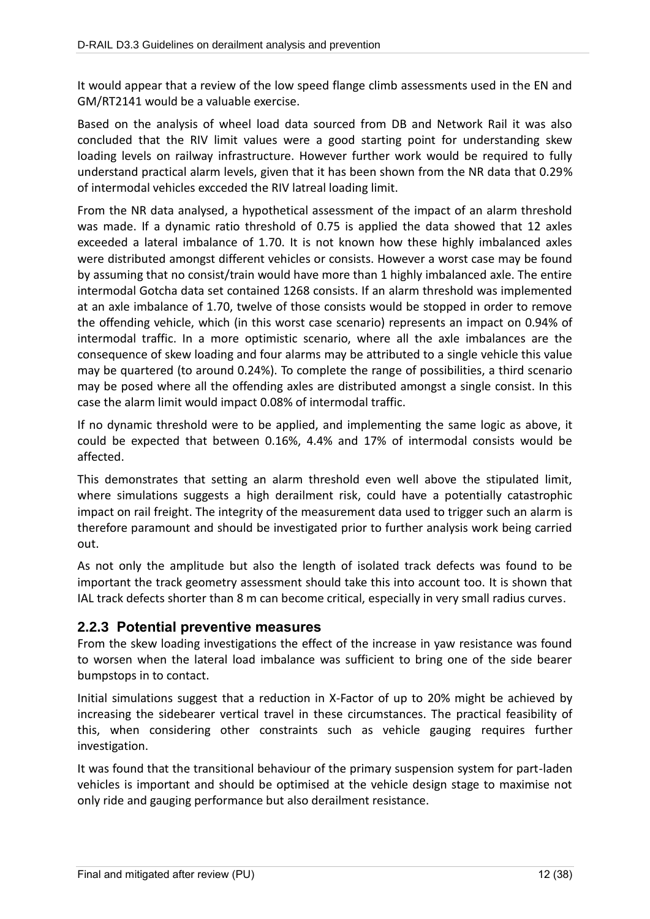It would appear that a review of the low speed flange climb assessments used in the EN and GM/RT2141 would be a valuable exercise.

Based on the analysis of wheel load data sourced from DB and Network Rail it was also concluded that the RIV limit values were a good starting point for understanding skew loading levels on railway infrastructure. However further work would be required to fully understand practical alarm levels, given that it has been shown from the NR data that 0.29% of intermodal vehicles excceded the RIV latreal loading limit.

From the NR data analysed, a hypothetical assessment of the impact of an alarm threshold was made. If a dynamic ratio threshold of 0.75 is applied the data showed that 12 axles exceeded a lateral imbalance of 1.70. It is not known how these highly imbalanced axles were distributed amongst different vehicles or consists. However a worst case may be found by assuming that no consist/train would have more than 1 highly imbalanced axle. The entire intermodal Gotcha data set contained 1268 consists. If an alarm threshold was implemented at an axle imbalance of 1.70, twelve of those consists would be stopped in order to remove the offending vehicle, which (in this worst case scenario) represents an impact on 0.94% of intermodal traffic. In a more optimistic scenario, where all the axle imbalances are the consequence of skew loading and four alarms may be attributed to a single vehicle this value may be quartered (to around 0.24%). To complete the range of possibilities, a third scenario may be posed where all the offending axles are distributed amongst a single consist. In this case the alarm limit would impact 0.08% of intermodal traffic.

If no dynamic threshold were to be applied, and implementing the same logic as above, it could be expected that between 0.16%, 4.4% and 17% of intermodal consists would be affected.

This demonstrates that setting an alarm threshold even well above the stipulated limit, where simulations suggests a high derailment risk, could have a potentially catastrophic impact on rail freight. The integrity of the measurement data used to trigger such an alarm is therefore paramount and should be investigated prior to further analysis work being carried out.

As not only the amplitude but also the length of isolated track defects was found to be important the track geometry assessment should take this into account too. It is shown that IAL track defects shorter than 8 m can become critical, especially in very small radius curves.

### **2.2.3 Potential preventive measures**

From the skew loading investigations the effect of the increase in yaw resistance was found to worsen when the lateral load imbalance was sufficient to bring one of the side bearer bumpstops in to contact.

Initial simulations suggest that a reduction in X-Factor of up to 20% might be achieved by increasing the sidebearer vertical travel in these circumstances. The practical feasibility of this, when considering other constraints such as vehicle gauging requires further investigation.

It was found that the transitional behaviour of the primary suspension system for part-laden vehicles is important and should be optimised at the vehicle design stage to maximise not only ride and gauging performance but also derailment resistance.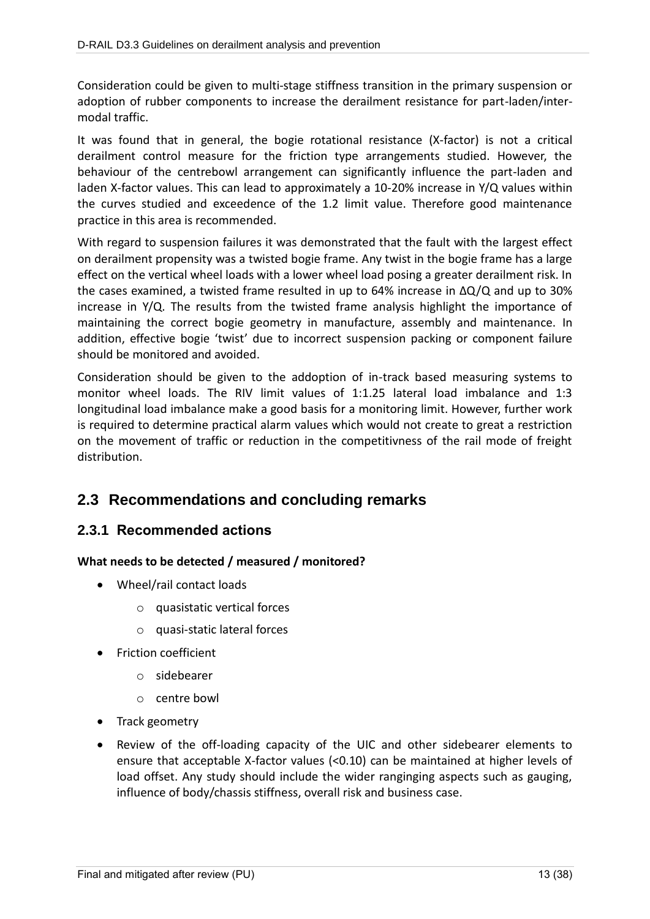Consideration could be given to multi-stage stiffness transition in the primary suspension or adoption of rubber components to increase the derailment resistance for part-laden/intermodal traffic.

It was found that in general, the bogie rotational resistance (X-factor) is not a critical derailment control measure for the friction type arrangements studied. However, the behaviour of the centrebowl arrangement can significantly influence the part-laden and laden X-factor values. This can lead to approximately a 10-20% increase in Y/Q values within the curves studied and exceedence of the 1.2 limit value. Therefore good maintenance practice in this area is recommended.

With regard to suspension failures it was demonstrated that the fault with the largest effect on derailment propensity was a twisted bogie frame. Any twist in the bogie frame has a large effect on the vertical wheel loads with a lower wheel load posing a greater derailment risk. In the cases examined, a twisted frame resulted in up to 64% increase in ΔQ/Q and up to 30% increase in Y/Q. The results from the twisted frame analysis highlight the importance of maintaining the correct bogie geometry in manufacture, assembly and maintenance. In addition, effective bogie 'twist' due to incorrect suspension packing or component failure should be monitored and avoided.

Consideration should be given to the addoption of in-track based measuring systems to monitor wheel loads. The RIV limit values of 1:1.25 lateral load imbalance and 1:3 longitudinal load imbalance make a good basis for a monitoring limit. However, further work is required to determine practical alarm values which would not create to great a restriction on the movement of traffic or reduction in the competitivness of the rail mode of freight distribution.

# **2.3 Recommendations and concluding remarks**

### **2.3.1 Recommended actions**

### **What needs to be detected / measured / monitored?**

- Wheel/rail contact loads
	- o quasistatic vertical forces
	- o quasi-static lateral forces
- **•** Friction coefficient
	- o sidebearer
	- o centre bowl
- Track geometry
- Review of the off-loading capacity of the UIC and other sidebearer elements to ensure that acceptable X-factor values (<0.10) can be maintained at higher levels of load offset. Any study should include the wider ranginging aspects such as gauging, influence of body/chassis stiffness, overall risk and business case.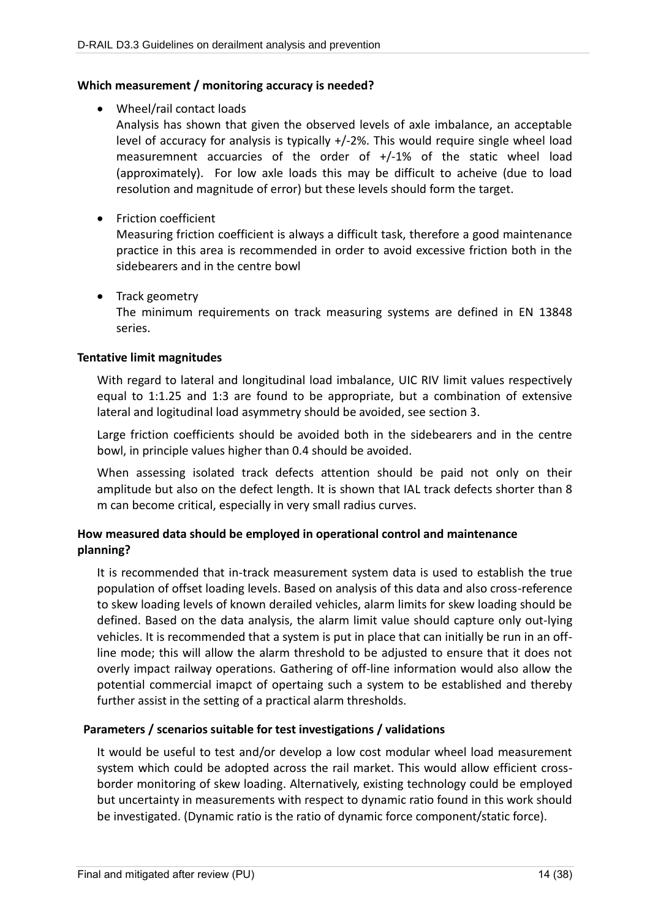#### **Which measurement / monitoring accuracy is needed?**

Wheel/rail contact loads

Analysis has shown that given the observed levels of axle imbalance, an acceptable level of accuracy for analysis is typically +/-2%. This would require single wheel load measuremnent accuarcies of the order of +/-1% of the static wheel load (approximately). For low axle loads this may be difficult to acheive (due to load resolution and magnitude of error) but these levels should form the target.

**•** Friction coefficient

Measuring friction coefficient is always a difficult task, therefore a good maintenance practice in this area is recommended in order to avoid excessive friction both in the sidebearers and in the centre bowl

• Track geometry

The minimum requirements on track measuring systems are defined in EN 13848 series.

#### **Tentative limit magnitudes**

With regard to lateral and longitudinal load imbalance, UIC RIV limit values respectively equal to 1:1.25 and 1:3 are found to be appropriate, but a combination of extensive lateral and logitudinal load asymmetry should be avoided, see section [3.](#page-15-0)

Large friction coefficients should be avoided both in the sidebearers and in the centre bowl, in principle values higher than 0.4 should be avoided.

When assessing isolated track defects attention should be paid not only on their amplitude but also on the defect length. It is shown that IAL track defects shorter than 8 m can become critical, especially in very small radius curves.

### **How measured data should be employed in operational control and maintenance planning?**

It is recommended that in-track measurement system data is used to establish the true population of offset loading levels. Based on analysis of this data and also cross-reference to skew loading levels of known derailed vehicles, alarm limits for skew loading should be defined. Based on the data analysis, the alarm limit value should capture only out-lying vehicles. It is recommended that a system is put in place that can initially be run in an offline mode; this will allow the alarm threshold to be adjusted to ensure that it does not overly impact railway operations. Gathering of off-line information would also allow the potential commercial imapct of opertaing such a system to be established and thereby further assist in the setting of a practical alarm thresholds.

### **Parameters / scenarios suitable for test investigations / validations**

It would be useful to test and/or develop a low cost modular wheel load measurement system which could be adopted across the rail market. This would allow efficient crossborder monitoring of skew loading. Alternatively, existing technology could be employed but uncertainty in measurements with respect to dynamic ratio found in this work should be investigated. (Dynamic ratio is the ratio of dynamic force component/static force).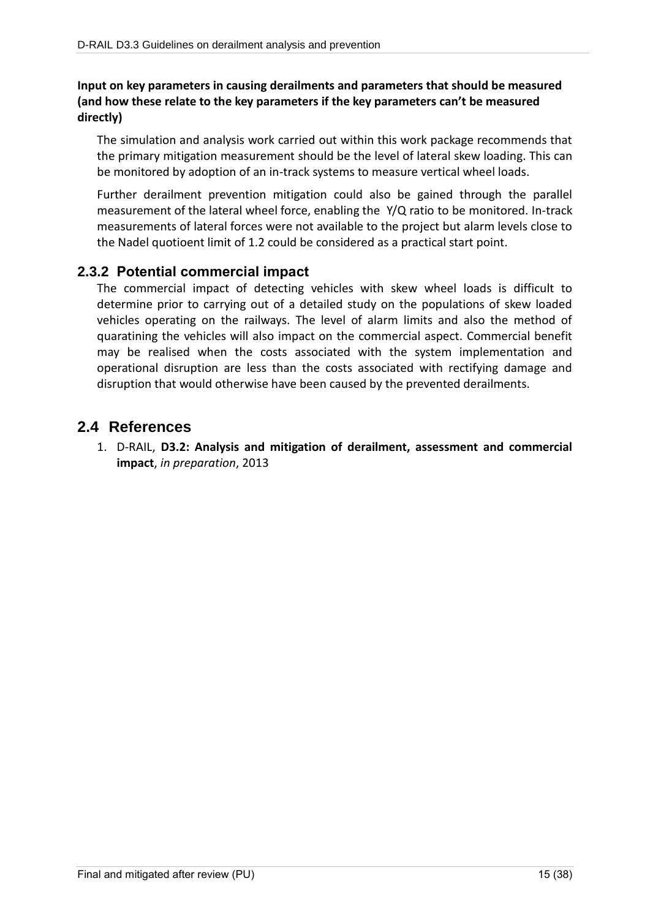### **Input on key parameters in causing derailments and parameters that should be measured (and how these relate to the key parameters if the key parameters can't be measured directly)**

The simulation and analysis work carried out within this work package recommends that the primary mitigation measurement should be the level of lateral skew loading. This can be monitored by adoption of an in-track systems to measure vertical wheel loads.

Further derailment prevention mitigation could also be gained through the parallel measurement of the lateral wheel force, enabling the Y/Q ratio to be monitored. In-track measurements of lateral forces were not available to the project but alarm levels close to the Nadel quotioent limit of 1.2 could be considered as a practical start point.

### **2.3.2 Potential commercial impact**

The commercial impact of detecting vehicles with skew wheel loads is difficult to determine prior to carrying out of a detailed study on the populations of skew loaded vehicles operating on the railways. The level of alarm limits and also the method of quaratining the vehicles will also impact on the commercial aspect. Commercial benefit may be realised when the costs associated with the system implementation and operational disruption are less than the costs associated with rectifying damage and disruption that would otherwise have been caused by the prevented derailments.

## **2.4 References**

1. D-RAIL, **D3.2: Analysis and mitigation of derailment, assessment and commercial impact**, *in preparation*, 2013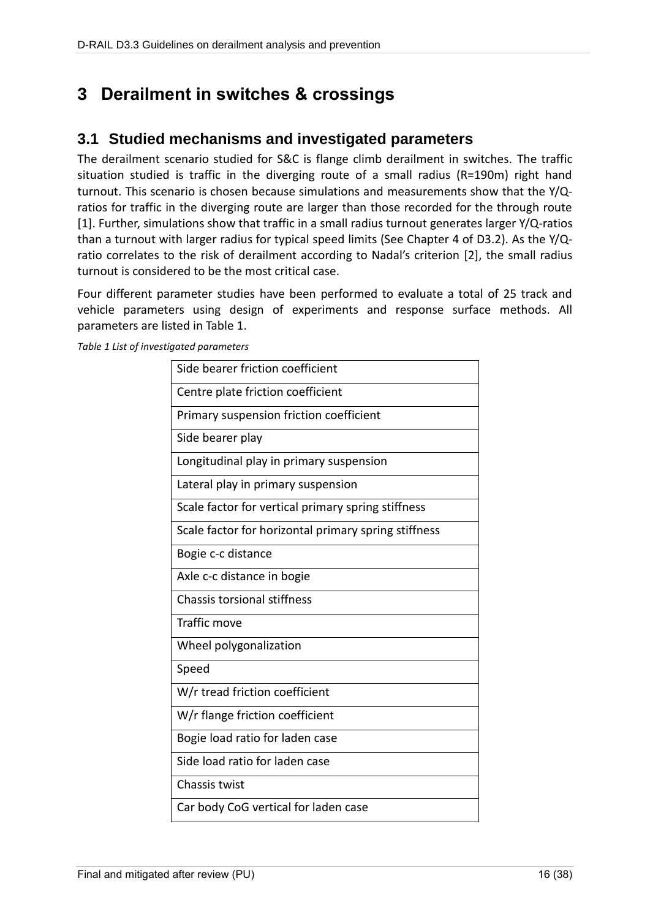# <span id="page-15-0"></span>**3 Derailment in switches & crossings**

# **3.1 Studied mechanisms and investigated parameters**

The derailment scenario studied for S&C is flange climb derailment in switches. The traffic situation studied is traffic in the diverging route of a small radius (R=190m) right hand turnout. This scenario is chosen because simulations and measurements show that the Y/Qratios for traffic in the diverging route are larger than those recorded for the through route [\[1\].](#page-24-0) Further, simulations show that traffic in a small radius turnout generates larger Y/Q-ratios than a turnout with larger radius for typical speed limits (See Chapter 4 of D3.2). As the Y/Qratio correlates to the risk of derailment according to Nadal's criterion [\[2\],](#page-24-1) the small radius turnout is considered to be the most critical case.

Four different parameter studies have been performed to evaluate a total of 25 track and vehicle parameters using design of experiments and response surface methods. All parameters are listed in [Table 1.](#page-15-1)

<span id="page-15-1"></span>*Table 1 List of investigated parameters*

| Side bearer friction coefficient                     |
|------------------------------------------------------|
| Centre plate friction coefficient                    |
| Primary suspension friction coefficient              |
| Side bearer play                                     |
| Longitudinal play in primary suspension              |
| Lateral play in primary suspension                   |
| Scale factor for vertical primary spring stiffness   |
| Scale factor for horizontal primary spring stiffness |
| Bogie c-c distance                                   |
| Axle c-c distance in bogie                           |
| <b>Chassis torsional stiffness</b>                   |
| <b>Traffic move</b>                                  |
| Wheel polygonalization                               |
| Speed                                                |
| W/r tread friction coefficient                       |
| W/r flange friction coefficient                      |
| Bogie load ratio for laden case                      |
| Side load ratio for laden case                       |
| Chassis twist                                        |
| Car body CoG vertical for laden case                 |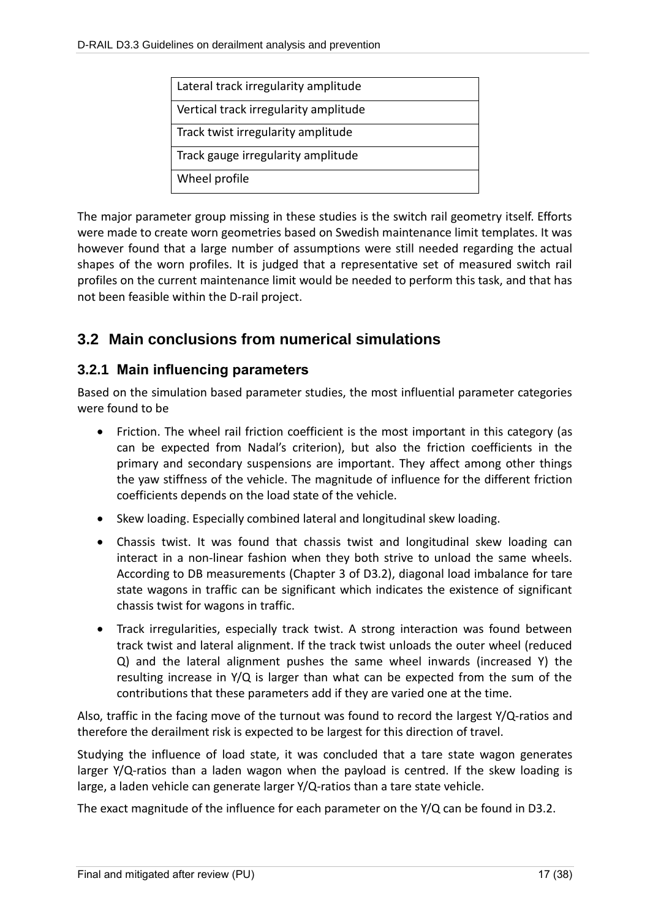| Lateral track irregularity amplitude  |  |
|---------------------------------------|--|
| Vertical track irregularity amplitude |  |
| Track twist irregularity amplitude    |  |
| Track gauge irregularity amplitude    |  |
| Wheel profile                         |  |

The major parameter group missing in these studies is the switch rail geometry itself. Efforts were made to create worn geometries based on Swedish maintenance limit templates. It was however found that a large number of assumptions were still needed regarding the actual shapes of the worn profiles. It is judged that a representative set of measured switch rail profiles on the current maintenance limit would be needed to perform this task, and that has not been feasible within the D-rail project.

# **3.2 Main conclusions from numerical simulations**

### **3.2.1 Main influencing parameters**

Based on the simulation based parameter studies, the most influential parameter categories were found to be

- Friction. The wheel rail friction coefficient is the most important in this category (as can be expected from Nadal's criterion), but also the friction coefficients in the primary and secondary suspensions are important. They affect among other things the yaw stiffness of the vehicle. The magnitude of influence for the different friction coefficients depends on the load state of the vehicle.
- Skew loading. Especially combined lateral and longitudinal skew loading.
- Chassis twist. It was found that chassis twist and longitudinal skew loading can interact in a non-linear fashion when they both strive to unload the same wheels. According to DB measurements (Chapter 3 of D3.2), diagonal load imbalance for tare state wagons in traffic can be significant which indicates the existence of significant chassis twist for wagons in traffic.
- Track irregularities, especially track twist. A strong interaction was found between track twist and lateral alignment. If the track twist unloads the outer wheel (reduced Q) and the lateral alignment pushes the same wheel inwards (increased Y) the resulting increase in Y/Q is larger than what can be expected from the sum of the contributions that these parameters add if they are varied one at the time.

Also, traffic in the facing move of the turnout was found to record the largest Y/Q-ratios and therefore the derailment risk is expected to be largest for this direction of travel.

Studying the influence of load state, it was concluded that a tare state wagon generates larger Y/Q-ratios than a laden wagon when the payload is centred. If the skew loading is large, a laden vehicle can generate larger Y/Q-ratios than a tare state vehicle.

The exact magnitude of the influence for each parameter on the Y/Q can be found in D3.2.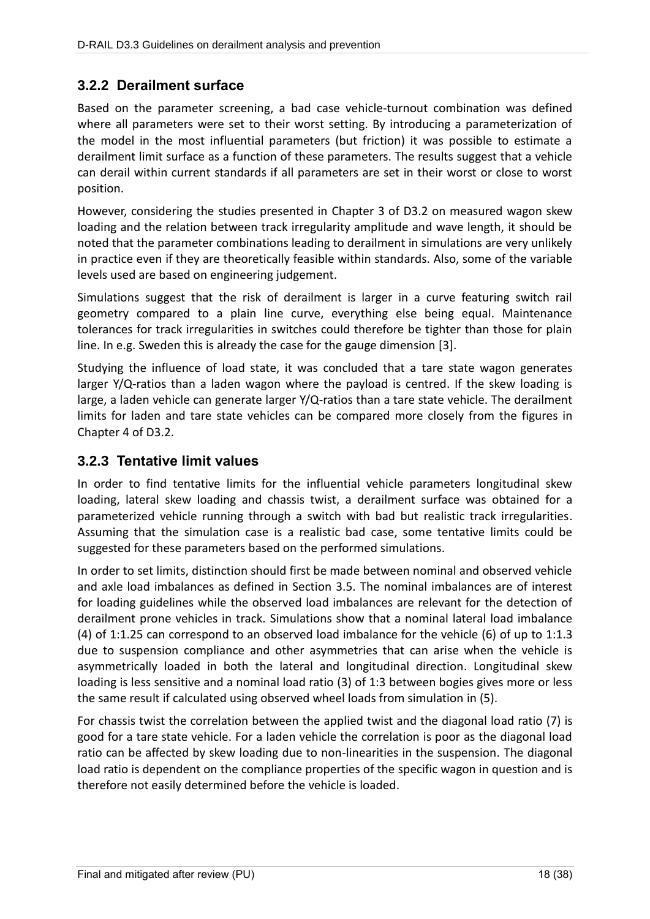## **3.2.2 Derailment surface**

Based on the parameter screening, a bad case vehicle-turnout combination was defined where all parameters were set to their worst setting. By introducing a parameterization of the model in the most influential parameters (but friction) it was possible to estimate a derailment limit surface as a function of these parameters. The results suggest that a vehicle can derail within current standards if all parameters are set in their worst or close to worst position.

However, considering the studies presented in Chapter 3 of D3.2 on measured wagon skew loading and the relation between track irregularity amplitude and wave length, it should be noted that the parameter combinations leading to derailment in simulations are very unlikely in practice even if they are theoretically feasible within standards. Also, some of the variable levels used are based on engineering judgement.

Simulations suggest that the risk of derailment is larger in a curve featuring switch rail geometry compared to a plain line curve, everything else being equal. Maintenance tolerances for track irregularities in switches could therefore be tighter than those for plain line. In e.g. Sweden this is already the case for the gauge dimension [3].

Studying the influence of load state, it was concluded that a tare state wagon generates larger  $Y/Q$ -ratios than a laden wagon where the payload is centred. If the skew loading is large, a laden vehicle can generate larger Y/Q-ratios than a tare state vehicle. The derailment limits for laden and tare state vehicles can be compared more closely from the figures in Chapter 4 of D3.2.

### <span id="page-17-0"></span>**3.2.3 Tentative limit values**

In order to find tentative limits for the influential vehicle parameters longitudinal skew loading, lateral skew loading and chassis twist, a derailment surface was obtained for a parameterized vehicle running through a switch with bad but realistic track irregularities. Assuming that the simulation case is a realistic bad case, some tentative limits could be suggested for these parameters based on the performed simulations.

In order to set limits, distinction should first be made between nominal and observed vehicle and axle load imbalances as defined in Section 3.5. The nominal imbalances are of interest for loading guidelines while the observed load imbalances are relevant for the detection of derailment prone vehicles in track. Simulations show that a nominal lateral load imbalance (4) of 1:1.25 can correspond to an observed load imbalance for the vehicle (6) of up to 1:1.3 due to suspension compliance and other asymmetries that can arise when the vehicle is asymmetrically loaded in both the lateral and longitudinal direction. Longitudinal skew loading is less sensitive and a nominal load ratio (3) of 1:3 between bogies gives more or less the same result if calculated using observed wheel loads from simulation in (5).

For chassis twist the correlation between the applied twist and the diagonal load ratio (7) is good for a tare state vehicle. For a laden vehicle the correlation is poor as the diagonal load ratio can be affected by skew loading due to non-linearities in the suspension. The diagonal load ratio is dependent on the compliance properties of the specific wagon in question and is therefore not easily determined before the vehicle is loaded.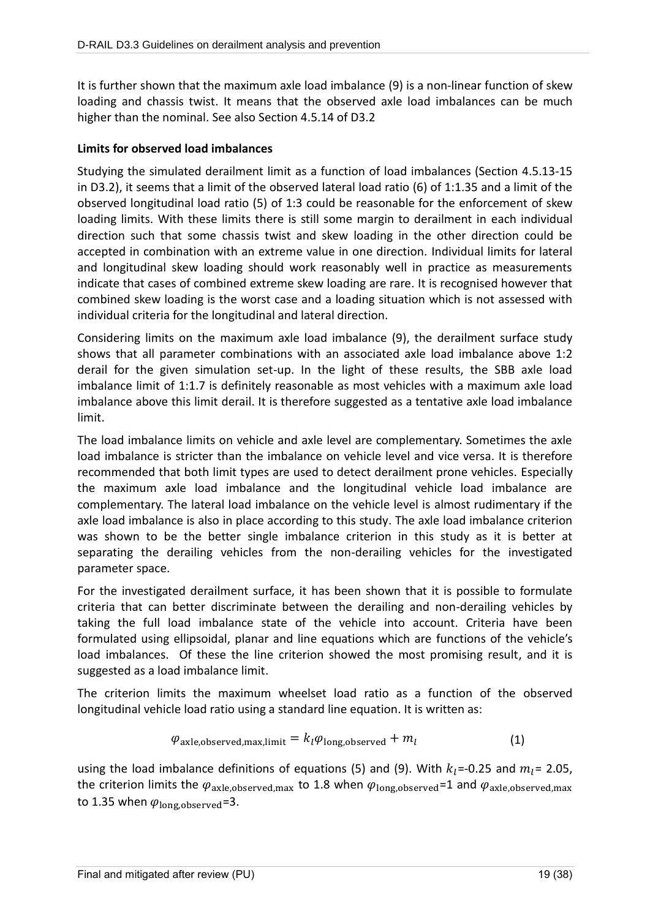It is further shown that the maximum axle load imbalance (9) is a non-linear function of skew loading and chassis twist. It means that the observed axle load imbalances can be much higher than the nominal. See also Section 4.5.14 of D3.2

### **Limits for observed load imbalances**

Studying the simulated derailment limit as a function of load imbalances (Section 4.5.13-15 in D3.2), it seems that a limit of the observed lateral load ratio (6) of 1:1.35 and a limit of the observed longitudinal load ratio (5) of 1:3 could be reasonable for the enforcement of skew loading limits. With these limits there is still some margin to derailment in each individual direction such that some chassis twist and skew loading in the other direction could be accepted in combination with an extreme value in one direction. Individual limits for lateral and longitudinal skew loading should work reasonably well in practice as measurements indicate that cases of combined extreme skew loading are rare. It is recognised however that combined skew loading is the worst case and a loading situation which is not assessed with individual criteria for the longitudinal and lateral direction.

Considering limits on the maximum axle load imbalance (9), the derailment surface study shows that all parameter combinations with an associated axle load imbalance above 1:2 derail for the given simulation set-up. In the light of these results, the SBB axle load imbalance limit of 1:1.7 is definitely reasonable as most vehicles with a maximum axle load imbalance above this limit derail. It is therefore suggested as a tentative axle load imbalance limit.

The load imbalance limits on vehicle and axle level are complementary. Sometimes the axle load imbalance is stricter than the imbalance on vehicle level and vice versa. It is therefore recommended that both limit types are used to detect derailment prone vehicles. Especially the maximum axle load imbalance and the longitudinal vehicle load imbalance are complementary. The lateral load imbalance on the vehicle level is almost rudimentary if the axle load imbalance is also in place according to this study. The axle load imbalance criterion was shown to be the better single imbalance criterion in this study as it is better at separating the derailing vehicles from the non-derailing vehicles for the investigated parameter space.

For the investigated derailment surface, it has been shown that it is possible to formulate criteria that can better discriminate between the derailing and non-derailing vehicles by taking the full load imbalance state of the vehicle into account. Criteria have been formulated using ellipsoidal, planar and line equations which are functions of the vehicle's load imbalances. Of these the line criterion showed the most promising result, and it is suggested as a load imbalance limit.

The criterion limits the maximum wheelset load ratio as a function of the observed longitudinal vehicle load ratio using a standard line equation. It is written as:

$$
\varphi_{\text{axle,observed,max,limit}} = k_l \varphi_{\text{long,observed}} + m_l \tag{1}
$$

using the load imbalance definitions of equations (5) and (9). With  $k_1$ =-0.25 and  $m_1$ = 2.05, the criterion limits the  $\varphi_{axle,observed,max}$  to 1.8 when  $\varphi_{long,observed}=1$  and  $\varphi_{axle,observed,max}$ to 1.35 when  $\varphi_{\text{long,observed}} = 3$ .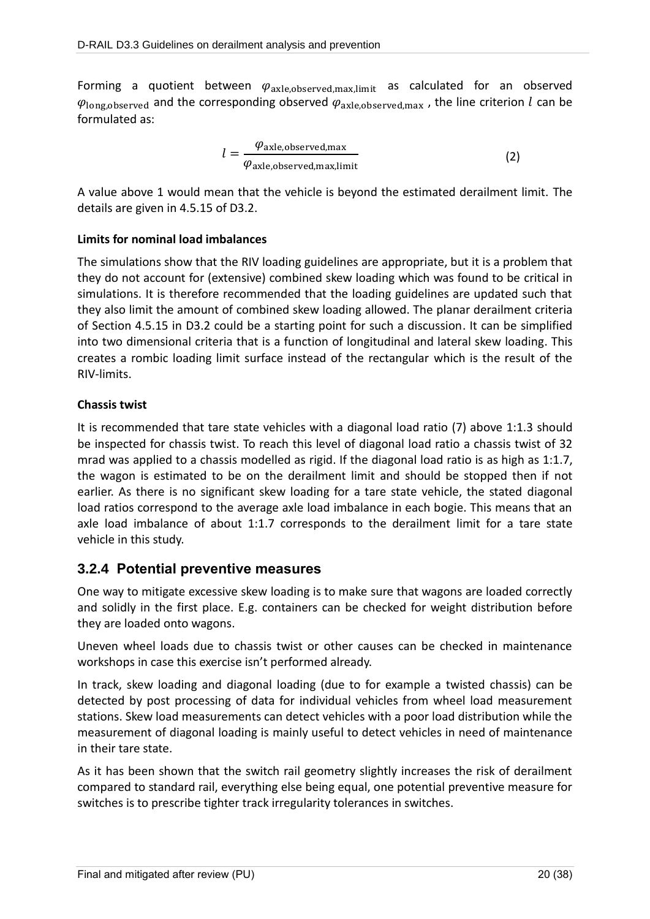Forming a quotient between  $\varphi_{axle,observed,max,limit}$  as calculated for an observed  $\varphi_{\text{long,observed}}$  and the corresponding observed  $\varphi_{\text{axle,observed,max}}$ , the line criterion *l* can be formulated as:

$$
l = \frac{\varphi_{\text{axle,observed,max}}}{\varphi_{\text{axle,observed,max,limit}}}
$$
 (2)

A value above 1 would mean that the vehicle is beyond the estimated derailment limit. The details are given in 4.5.15 of D3.2.

### **Limits for nominal load imbalances**

The simulations show that the RIV loading guidelines are appropriate, but it is a problem that they do not account for (extensive) combined skew loading which was found to be critical in simulations. It is therefore recommended that the loading guidelines are updated such that they also limit the amount of combined skew loading allowed. The planar derailment criteria of Section 4.5.15 in D3.2 could be a starting point for such a discussion. It can be simplified into two dimensional criteria that is a function of longitudinal and lateral skew loading. This creates a rombic loading limit surface instead of the rectangular which is the result of the RIV-limits.

### **Chassis twist**

It is recommended that tare state vehicles with a diagonal load ratio (7) above 1:1.3 should be inspected for chassis twist. To reach this level of diagonal load ratio a chassis twist of 32 mrad was applied to a chassis modelled as rigid. If the diagonal load ratio is as high as 1:1.7, the wagon is estimated to be on the derailment limit and should be stopped then if not earlier. As there is no significant skew loading for a tare state vehicle, the stated diagonal load ratios correspond to the average axle load imbalance in each bogie. This means that an axle load imbalance of about 1:1.7 corresponds to the derailment limit for a tare state vehicle in this study.

### **3.2.4 Potential preventive measures**

One way to mitigate excessive skew loading is to make sure that wagons are loaded correctly and solidly in the first place. E.g. containers can be checked for weight distribution before they are loaded onto wagons.

Uneven wheel loads due to chassis twist or other causes can be checked in maintenance workshops in case this exercise isn't performed already.

In track, skew loading and diagonal loading (due to for example a twisted chassis) can be detected by post processing of data for individual vehicles from wheel load measurement stations. Skew load measurements can detect vehicles with a poor load distribution while the measurement of diagonal loading is mainly useful to detect vehicles in need of maintenance in their tare state.

As it has been shown that the switch rail geometry slightly increases the risk of derailment compared to standard rail, everything else being equal, one potential preventive measure for switches is to prescribe tighter track irregularity tolerances in switches.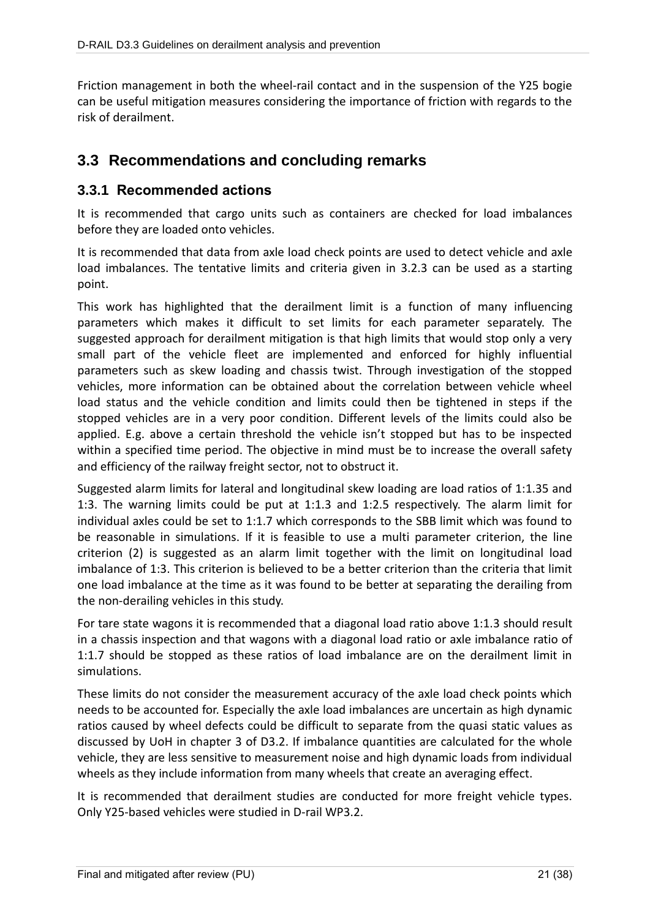Friction management in both the wheel-rail contact and in the suspension of the Y25 bogie can be useful mitigation measures considering the importance of friction with regards to the risk of derailment.

# **3.3 Recommendations and concluding remarks**

### **3.3.1 Recommended actions**

It is recommended that cargo units such as containers are checked for load imbalances before they are loaded onto vehicles.

It is recommended that data from axle load check points are used to detect vehicle and axle load imbalances. The tentative limits and criteria given in [3.2.3](#page-17-0) can be used as a starting point.

This work has highlighted that the derailment limit is a function of many influencing parameters which makes it difficult to set limits for each parameter separately. The suggested approach for derailment mitigation is that high limits that would stop only a very small part of the vehicle fleet are implemented and enforced for highly influential parameters such as skew loading and chassis twist. Through investigation of the stopped vehicles, more information can be obtained about the correlation between vehicle wheel load status and the vehicle condition and limits could then be tightened in steps if the stopped vehicles are in a very poor condition. Different levels of the limits could also be applied. E.g. above a certain threshold the vehicle isn't stopped but has to be inspected within a specified time period. The objective in mind must be to increase the overall safety and efficiency of the railway freight sector, not to obstruct it.

Suggested alarm limits for lateral and longitudinal skew loading are load ratios of 1:1.35 and 1:3. The warning limits could be put at 1:1.3 and 1:2.5 respectively. The alarm limit for individual axles could be set to 1:1.7 which corresponds to the SBB limit which was found to be reasonable in simulations. If it is feasible to use a multi parameter criterion, the line criterion (2) is suggested as an alarm limit together with the limit on longitudinal load imbalance of 1:3. This criterion is believed to be a better criterion than the criteria that limit one load imbalance at the time as it was found to be better at separating the derailing from the non-derailing vehicles in this study.

For tare state wagons it is recommended that a diagonal load ratio above 1:1.3 should result in a chassis inspection and that wagons with a diagonal load ratio or axle imbalance ratio of 1:1.7 should be stopped as these ratios of load imbalance are on the derailment limit in simulations.

These limits do not consider the measurement accuracy of the axle load check points which needs to be accounted for. Especially the axle load imbalances are uncertain as high dynamic ratios caused by wheel defects could be difficult to separate from the quasi static values as discussed by UoH in chapter 3 of D3.2. If imbalance quantities are calculated for the whole vehicle, they are less sensitive to measurement noise and high dynamic loads from individual wheels as they include information from many wheels that create an averaging effect.

It is recommended that derailment studies are conducted for more freight vehicle types. Only Y25-based vehicles were studied in D-rail WP3.2.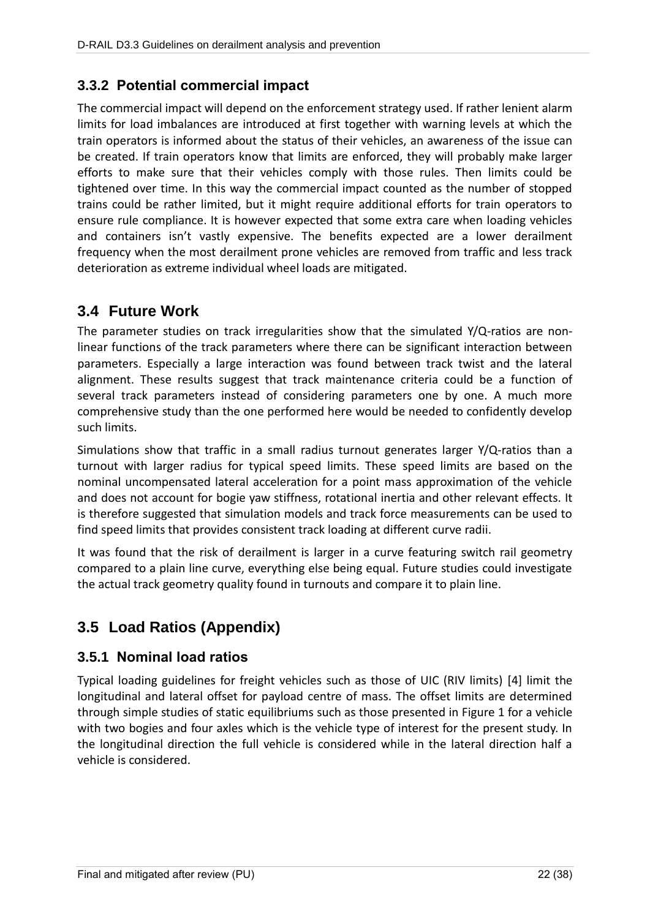## **3.3.2 Potential commercial impact**

The commercial impact will depend on the enforcement strategy used. If rather lenient alarm limits for load imbalances are introduced at first together with warning levels at which the train operators is informed about the status of their vehicles, an awareness of the issue can be created. If train operators know that limits are enforced, they will probably make larger efforts to make sure that their vehicles comply with those rules. Then limits could be tightened over time. In this way the commercial impact counted as the number of stopped trains could be rather limited, but it might require additional efforts for train operators to ensure rule compliance. It is however expected that some extra care when loading vehicles and containers isn't vastly expensive. The benefits expected are a lower derailment frequency when the most derailment prone vehicles are removed from traffic and less track deterioration as extreme individual wheel loads are mitigated.

# **3.4 Future Work**

The parameter studies on track irregularities show that the simulated Y/Q-ratios are nonlinear functions of the track parameters where there can be significant interaction between parameters. Especially a large interaction was found between track twist and the lateral alignment. These results suggest that track maintenance criteria could be a function of several track parameters instead of considering parameters one by one. A much more comprehensive study than the one performed here would be needed to confidently develop such limits.

Simulations show that traffic in a small radius turnout generates larger Y/Q-ratios than a turnout with larger radius for typical speed limits. These speed limits are based on the nominal uncompensated lateral acceleration for a point mass approximation of the vehicle and does not account for bogie yaw stiffness, rotational inertia and other relevant effects. It is therefore suggested that simulation models and track force measurements can be used to find speed limits that provides consistent track loading at different curve radii.

It was found that the risk of derailment is larger in a curve featuring switch rail geometry compared to a plain line curve, everything else being equal. Future studies could investigate the actual track geometry quality found in turnouts and compare it to plain line.

# **3.5 Load Ratios (Appendix)**

## **3.5.1 Nominal load ratios**

Typical loading guidelines for freight vehicles such as those of UIC (RIV limits) [4] limit the longitudinal and lateral offset for payload centre of mass. The offset limits are determined through simple studies of static equilibriums such as those presented in Figure 1 for a vehicle with two bogies and four axles which is the vehicle type of interest for the present study. In the longitudinal direction the full vehicle is considered while in the lateral direction half a vehicle is considered.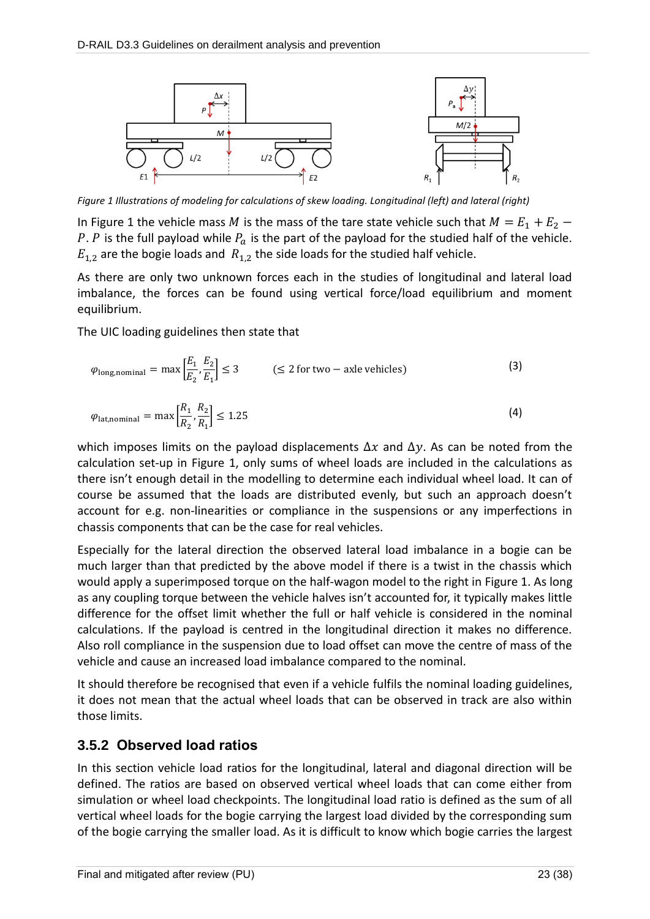

*Figure 1 Illustrations of modeling for calculations of skew loading. Longitudinal (left) and lateral (right)*

In Figure 1 the vehicle mass M is the mass of the tare state vehicle such that  $M = E_1 + E_2$  – P. P is the full payload while  $P_a$  is the part of the payload for the studied half of the vehicle.  $E_{1,2}$  are the bogie loads and  $R_{1,2}$  the side loads for the studied half vehicle.

As there are only two unknown forces each in the studies of longitudinal and lateral load imbalance, the forces can be found using vertical force/load equilibrium and moment equilibrium.

The UIC loading guidelines then state that

$$
\varphi_{\text{long,nominal}} = \max \left[ \frac{E_1}{E_2}, \frac{E_2}{E_1} \right] \le 3 \qquad (\le 2 \text{ for two } - \text{ axle vehicles}) \tag{3}
$$

$$
\varphi_{\text{lat},\text{nominal}} = \max\left[\frac{R_1}{R_2}, \frac{R_2}{R_1}\right] \le 1.25\tag{4}
$$

which imposes limits on the payload displacements  $\Delta x$  and  $\Delta y$ . As can be noted from the calculation set-up in Figure 1, only sums of wheel loads are included in the calculations as there isn't enough detail in the modelling to determine each individual wheel load. It can of course be assumed that the loads are distributed evenly, but such an approach doesn't account for e.g. non-linearities or compliance in the suspensions or any imperfections in chassis components that can be the case for real vehicles.

Especially for the lateral direction the observed lateral load imbalance in a bogie can be much larger than that predicted by the above model if there is a twist in the chassis which would apply a superimposed torque on the half-wagon model to the right in Figure 1. As long as any coupling torque between the vehicle halves isn't accounted for, it typically makes little difference for the offset limit whether the full or half vehicle is considered in the nominal calculations. If the payload is centred in the longitudinal direction it makes no difference. Also roll compliance in the suspension due to load offset can move the centre of mass of the vehicle and cause an increased load imbalance compared to the nominal.

It should therefore be recognised that even if a vehicle fulfils the nominal loading guidelines, it does not mean that the actual wheel loads that can be observed in track are also within those limits.

## **3.5.2 Observed load ratios**

In this section vehicle load ratios for the longitudinal, lateral and diagonal direction will be defined. The ratios are based on observed vertical wheel loads that can come either from simulation or wheel load checkpoints. The longitudinal load ratio is defined as the sum of all vertical wheel loads for the bogie carrying the largest load divided by the corresponding sum of the bogie carrying the smaller load. As it is difficult to know which bogie carries the largest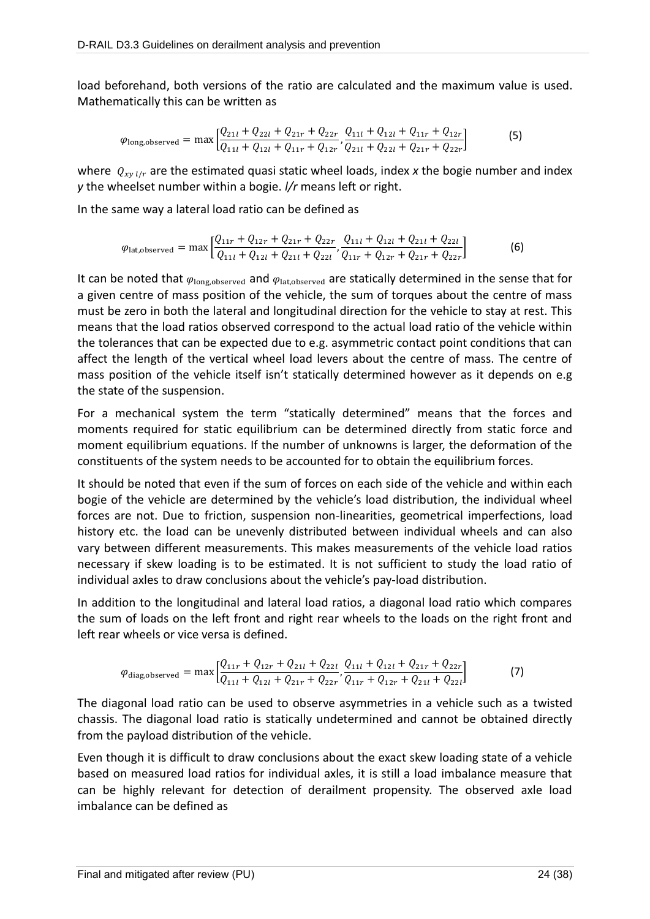load beforehand, both versions of the ratio are calculated and the maximum value is used. Mathematically this can be written as

$$
\varphi_{\text{long,observed}} = \max \left[ \frac{Q_{21l} + Q_{22l} + Q_{21r} + Q_{22r}}{Q_{11l} + Q_{12l} + Q_{11r} + Q_{12r}}, \frac{Q_{11l} + Q_{12l} + Q_{11r} + Q_{12r}}{Q_{21l} + Q_{22l} + Q_{21r} + Q_{22r}} \right]
$$
(5)

where  $Q_{xy\,l/r}$  are the estimated quasi static wheel loads, index x the bogie number and index *y* the wheelset number within a bogie. *l/r* means left or right.

In the same way a lateral load ratio can be defined as

$$
\varphi_{\text{lat,observed}} = \max \left[ \frac{Q_{11r} + Q_{12r} + Q_{21r} + Q_{22r}}{Q_{11l} + Q_{12l} + Q_{21l} + Q_{22l}}, \frac{Q_{11l} + Q_{12l} + Q_{21l} + Q_{22l}}{Q_{11r} + Q_{12r} + Q_{21r} + Q_{22r}} \right]
$$
(6)

It can be noted that  $\varphi_{\text{long,observed}}$  and  $\varphi_{\text{lat,observed}}$  are statically determined in the sense that for a given centre of mass position of the vehicle, the sum of torques about the centre of mass must be zero in both the lateral and longitudinal direction for the vehicle to stay at rest. This means that the load ratios observed correspond to the actual load ratio of the vehicle within the tolerances that can be expected due to e.g. asymmetric contact point conditions that can affect the length of the vertical wheel load levers about the centre of mass. The centre of mass position of the vehicle itself isn't statically determined however as it depends on e.g the state of the suspension.

For a mechanical system the term "statically determined" means that the forces and moments required for static equilibrium can be determined directly from static force and moment equilibrium equations. If the number of unknowns is larger, the deformation of the constituents of the system needs to be accounted for to obtain the equilibrium forces.

It should be noted that even if the sum of forces on each side of the vehicle and within each bogie of the vehicle are determined by the vehicle's load distribution, the individual wheel forces are not. Due to friction, suspension non-linearities, geometrical imperfections, load history etc. the load can be unevenly distributed between individual wheels and can also vary between different measurements. This makes measurements of the vehicle load ratios necessary if skew loading is to be estimated. It is not sufficient to study the load ratio of individual axles to draw conclusions about the vehicle's pay-load distribution.

In addition to the longitudinal and lateral load ratios, a diagonal load ratio which compares the sum of loads on the left front and right rear wheels to the loads on the right front and left rear wheels or vice versa is defined.

$$
\varphi_{\text{diag,observed}} = \max \left[ \frac{Q_{11r} + Q_{12r} + Q_{21l} + Q_{22l}}{Q_{11l} + Q_{12l} + Q_{21r} + Q_{22r}}, \frac{Q_{11l} + Q_{12l} + Q_{21r} + Q_{22r}}{Q_{11r} + Q_{12r} + Q_{21l} + Q_{22l}} \right]
$$
(7)

The diagonal load ratio can be used to observe asymmetries in a vehicle such as a twisted chassis. The diagonal load ratio is statically undetermined and cannot be obtained directly from the payload distribution of the vehicle.

Even though it is difficult to draw conclusions about the exact skew loading state of a vehicle based on measured load ratios for individual axles, it is still a load imbalance measure that can be highly relevant for detection of derailment propensity. The observed axle load imbalance can be defined as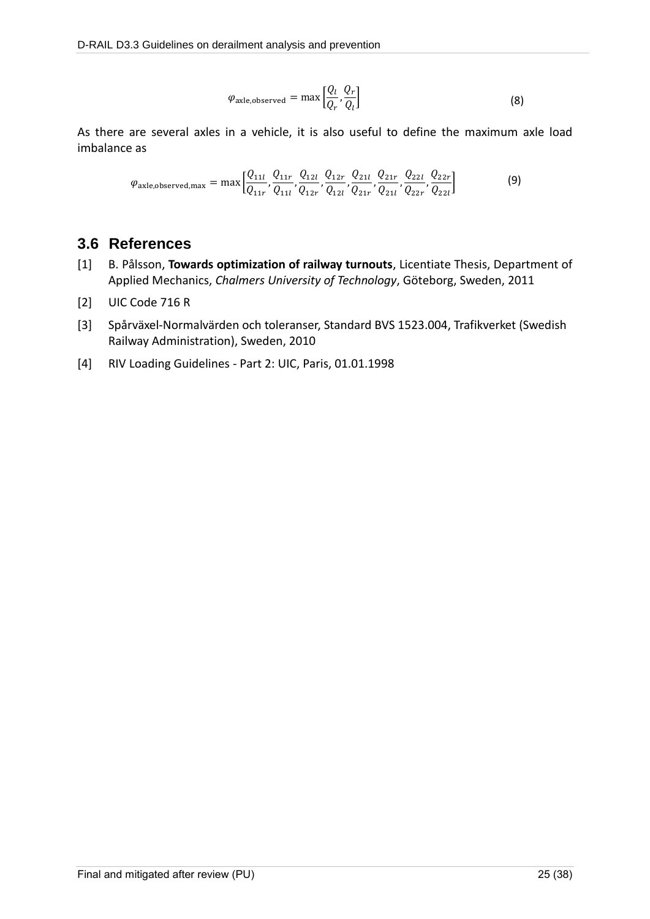$$
\varphi_{\text{axle,observed}} = \max \left[ \frac{Q_l}{Q_r}, \frac{Q_r}{Q_l} \right] \tag{8}
$$

As there are several axles in a vehicle, it is also useful to define the maximum axle load imbalance as

$$
\varphi_{\text{axle,observed,max}} = \max \left[ \frac{Q_{11l}}{Q_{11r}}, \frac{Q_{11r}}{Q_{11r}}, \frac{Q_{12l}}{Q_{12r}}, \frac{Q_{12r}}{Q_{12l}}, \frac{Q_{21l}}{Q_{21r}}, \frac{Q_{22l}}{Q_{21l}}, \frac{Q_{22r}}{Q_{22r}}, \frac{Q_{22r}}{Q_{22l}} \right]
$$
(9)

## **3.6 References**

- <span id="page-24-0"></span>[1] B. Pålsson, **Towards optimization of railway turnouts**, Licentiate Thesis, Department of Applied Mechanics, *Chalmers University of Technology*, Göteborg, Sweden, 2011
- <span id="page-24-1"></span>[2] UIC Code 716 R
- [3] Spårväxel-Normalvärden och toleranser, Standard BVS 1523.004, Trafikverket (Swedish Railway Administration), Sweden, 2010
- [4] RIV Loading Guidelines Part 2: UIC, Paris, 01.01.1998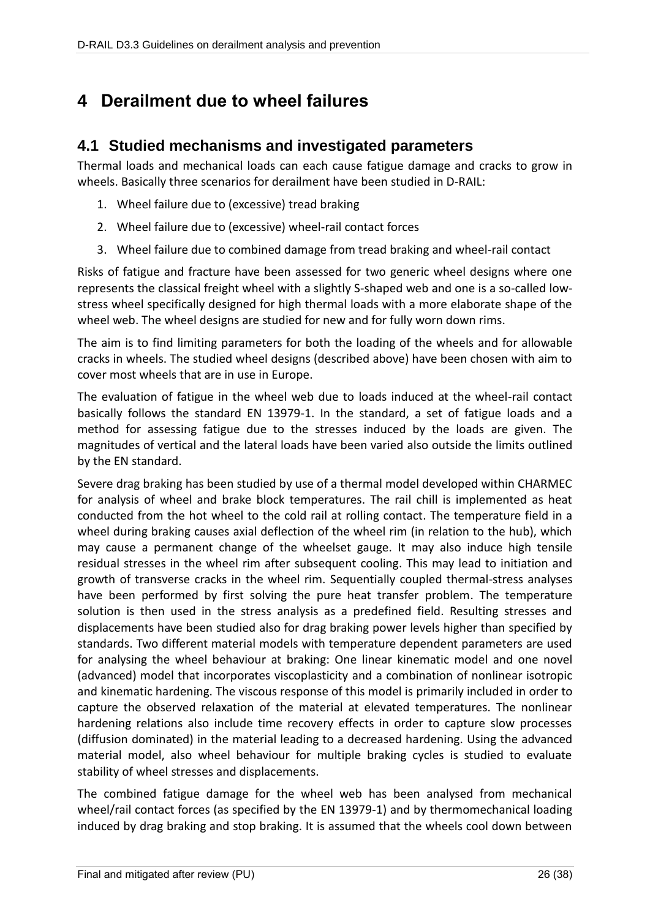# **4 Derailment due to wheel failures**

## **4.1 Studied mechanisms and investigated parameters**

Thermal loads and mechanical loads can each cause fatigue damage and cracks to grow in wheels. Basically three scenarios for derailment have been studied in D-RAIL:

- 1. Wheel failure due to (excessive) tread braking
- 2. Wheel failure due to (excessive) wheel-rail contact forces
- 3. Wheel failure due to combined damage from tread braking and wheel-rail contact

Risks of fatigue and fracture have been assessed for two generic wheel designs where one represents the classical freight wheel with a slightly S-shaped web and one is a so-called lowstress wheel specifically designed for high thermal loads with a more elaborate shape of the wheel web. The wheel designs are studied for new and for fully worn down rims.

The aim is to find limiting parameters for both the loading of the wheels and for allowable cracks in wheels. The studied wheel designs (described above) have been chosen with aim to cover most wheels that are in use in Europe.

The evaluation of fatigue in the wheel web due to loads induced at the wheel-rail contact basically follows the standard EN 13979-1. In the standard, a set of fatigue loads and a method for assessing fatigue due to the stresses induced by the loads are given. The magnitudes of vertical and the lateral loads have been varied also outside the limits outlined by the EN standard.

Severe drag braking has been studied by use of a thermal model developed within CHARMEC for analysis of wheel and brake block temperatures. The rail chill is implemented as heat conducted from the hot wheel to the cold rail at rolling contact. The temperature field in a wheel during braking causes axial deflection of the wheel rim (in relation to the hub), which may cause a permanent change of the wheelset gauge. It may also induce high tensile residual stresses in the wheel rim after subsequent cooling. This may lead to initiation and growth of transverse cracks in the wheel rim. Sequentially coupled thermal-stress analyses have been performed by first solving the pure heat transfer problem. The temperature solution is then used in the stress analysis as a predefined field. Resulting stresses and displacements have been studied also for drag braking power levels higher than specified by standards. Two different material models with temperature dependent parameters are used for analysing the wheel behaviour at braking: One linear kinematic model and one novel (advanced) model that incorporates viscoplasticity and a combination of nonlinear isotropic and kinematic hardening. The viscous response of this model is primarily included in order to capture the observed relaxation of the material at elevated temperatures. The nonlinear hardening relations also include time recovery effects in order to capture slow processes (diffusion dominated) in the material leading to a decreased hardening. Using the advanced material model, also wheel behaviour for multiple braking cycles is studied to evaluate stability of wheel stresses and displacements.

The combined fatigue damage for the wheel web has been analysed from mechanical wheel/rail contact forces (as specified by the EN 13979-1) and by thermomechanical loading induced by drag braking and stop braking. It is assumed that the wheels cool down between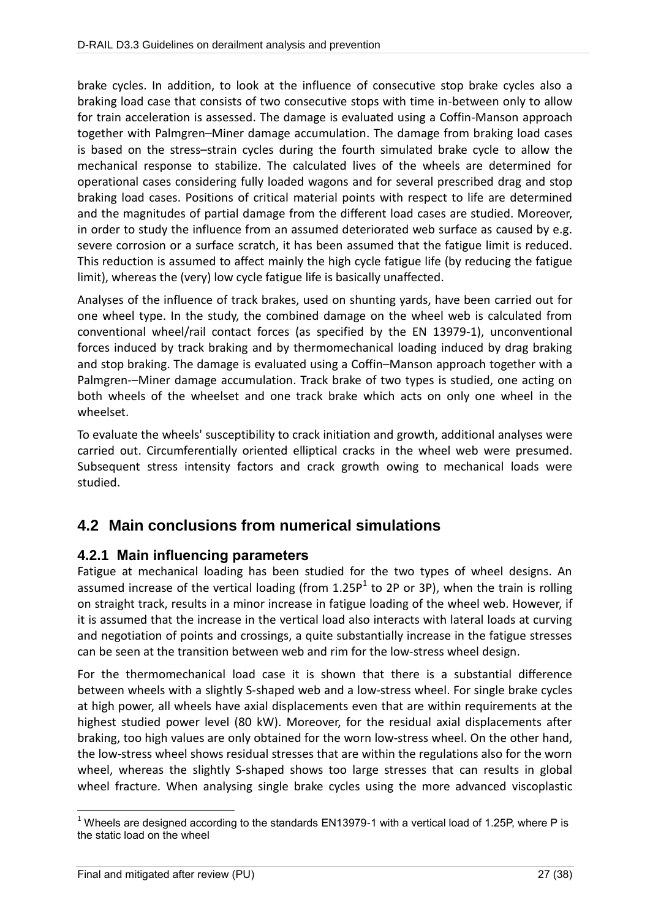brake cycles. In addition, to look at the influence of consecutive stop brake cycles also a braking load case that consists of two consecutive stops with time in-between only to allow for train acceleration is assessed. The damage is evaluated using a Coffin-Manson approach together with Palmgren–Miner damage accumulation. The damage from braking load cases is based on the stress–strain cycles during the fourth simulated brake cycle to allow the mechanical response to stabilize. The calculated lives of the wheels are determined for operational cases considering fully loaded wagons and for several prescribed drag and stop braking load cases. Positions of critical material points with respect to life are determined and the magnitudes of partial damage from the different load cases are studied. Moreover, in order to study the influence from an assumed deteriorated web surface as caused by e.g. severe corrosion or a surface scratch, it has been assumed that the fatigue limit is reduced. This reduction is assumed to affect mainly the high cycle fatigue life (by reducing the fatigue limit), whereas the (very) low cycle fatigue life is basically unaffected.

Analyses of the influence of track brakes, used on shunting yards, have been carried out for one wheel type. In the study, the combined damage on the wheel web is calculated from conventional wheel/rail contact forces (as specified by the EN 13979-1), unconventional forces induced by track braking and by thermomechanical loading induced by drag braking and stop braking. The damage is evaluated using a Coffin–Manson approach together with a Palmgren-–Miner damage accumulation. Track brake of two types is studied, one acting on both wheels of the wheelset and one track brake which acts on only one wheel in the wheelset.

To evaluate the wheels' susceptibility to crack initiation and growth, additional analyses were carried out. Circumferentially oriented elliptical cracks in the wheel web were presumed. Subsequent stress intensity factors and crack growth owing to mechanical loads were studied.

# **4.2 Main conclusions from numerical simulations**

### **4.2.1 Main influencing parameters**

Fatigue at mechanical loading has been studied for the two types of wheel designs. An assumed increase of the vertical loading (from 1.25P<sup>1</sup> to 2P or 3P), when the train is rolling on straight track, results in a minor increase in fatigue loading of the wheel web. However, if it is assumed that the increase in the vertical load also interacts with lateral loads at curving and negotiation of points and crossings, a quite substantially increase in the fatigue stresses can be seen at the transition between web and rim for the low-stress wheel design.

For the thermomechanical load case it is shown that there is a substantial difference between wheels with a slightly S-shaped web and a low-stress wheel. For single brake cycles at high power, all wheels have axial displacements even that are within requirements at the highest studied power level (80 kW). Moreover, for the residual axial displacements after braking, too high values are only obtained for the worn low-stress wheel. On the other hand, the low-stress wheel shows residual stresses that are within the regulations also for the worn wheel, whereas the slightly S-shaped shows too large stresses that can results in global wheel fracture. When analysing single brake cycles using the more advanced viscoplastic

 $\overline{a}$  $1$  Wheels are designed according to the standards EN13979-1 with a vertical load of 1.25P, where P is the static load on the wheel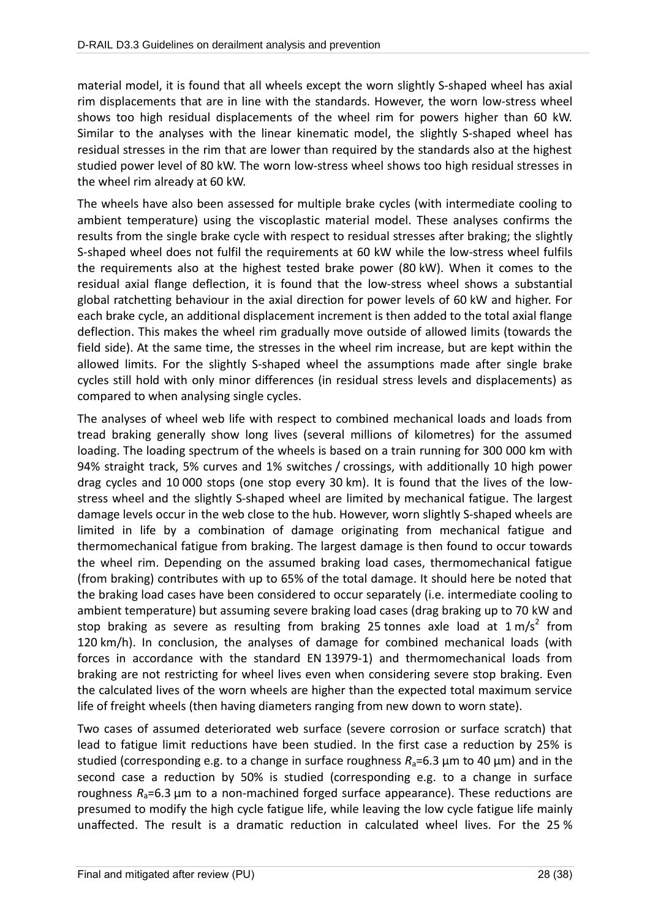material model, it is found that all wheels except the worn slightly S-shaped wheel has axial rim displacements that are in line with the standards. However, the worn low-stress wheel shows too high residual displacements of the wheel rim for powers higher than 60 kW. Similar to the analyses with the linear kinematic model, the slightly S-shaped wheel has residual stresses in the rim that are lower than required by the standards also at the highest studied power level of 80 kW. The worn low-stress wheel shows too high residual stresses in the wheel rim already at 60 kW.

The wheels have also been assessed for multiple brake cycles (with intermediate cooling to ambient temperature) using the viscoplastic material model. These analyses confirms the results from the single brake cycle with respect to residual stresses after braking; the slightly S-shaped wheel does not fulfil the requirements at 60 kW while the low-stress wheel fulfils the requirements also at the highest tested brake power (80 kW). When it comes to the residual axial flange deflection, it is found that the low-stress wheel shows a substantial global ratchetting behaviour in the axial direction for power levels of 60 kW and higher. For each brake cycle, an additional displacement increment is then added to the total axial flange deflection. This makes the wheel rim gradually move outside of allowed limits (towards the field side). At the same time, the stresses in the wheel rim increase, but are kept within the allowed limits. For the slightly S-shaped wheel the assumptions made after single brake cycles still hold with only minor differences (in residual stress levels and displacements) as compared to when analysing single cycles.

The analyses of wheel web life with respect to combined mechanical loads and loads from tread braking generally show long lives (several millions of kilometres) for the assumed loading. The loading spectrum of the wheels is based on a train running for 300 000 km with 94% straight track, 5% curves and 1% switches / crossings, with additionally 10 high power drag cycles and 10 000 stops (one stop every 30 km). It is found that the lives of the lowstress wheel and the slightly S-shaped wheel are limited by mechanical fatigue. The largest damage levels occur in the web close to the hub. However, worn slightly S-shaped wheels are limited in life by a combination of damage originating from mechanical fatigue and thermomechanical fatigue from braking. The largest damage is then found to occur towards the wheel rim. Depending on the assumed braking load cases, thermomechanical fatigue (from braking) contributes with up to 65% of the total damage. It should here be noted that the braking load cases have been considered to occur separately (i.e. intermediate cooling to ambient temperature) but assuming severe braking load cases (drag braking up to 70 kW and stop braking as severe as resulting from braking 25 tonnes axle load at  $1 \text{ m/s}^2$  from 120 km/h). In conclusion, the analyses of damage for combined mechanical loads (with forces in accordance with the standard EN 13979-1) and thermomechanical loads from braking are not restricting for wheel lives even when considering severe stop braking. Even the calculated lives of the worn wheels are higher than the expected total maximum service life of freight wheels (then having diameters ranging from new down to worn state).

Two cases of assumed deteriorated web surface (severe corrosion or surface scratch) that lead to fatigue limit reductions have been studied. In the first case a reduction by 25% is studied (corresponding e.g. to a change in surface roughness  $R_a=6.3 \mu m$  to 40  $\mu m$ ) and in the second case a reduction by 50% is studied (corresponding e.g. to a change in surface roughness *R*a=6.3 µm to a non-machined forged surface appearance). These reductions are presumed to modify the high cycle fatigue life, while leaving the low cycle fatigue life mainly unaffected. The result is a dramatic reduction in calculated wheel lives. For the 25 %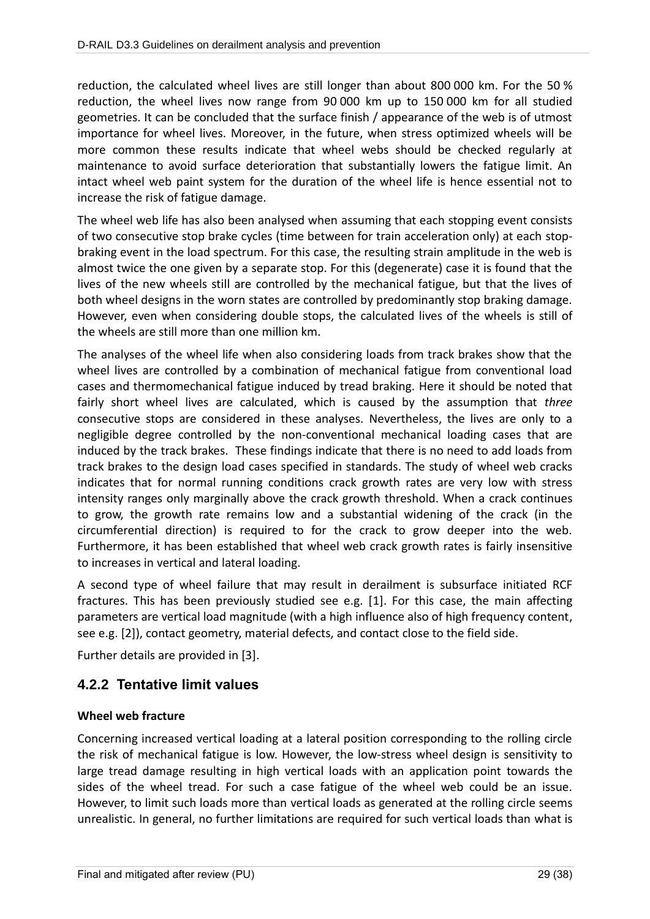reduction, the calculated wheel lives are still longer than about 800 000 km. For the 50 % reduction, the wheel lives now range from 90 000 km up to 150 000 km for all studied geometries. It can be concluded that the surface finish / appearance of the web is of utmost importance for wheel lives. Moreover, in the future, when stress optimized wheels will be more common these results indicate that wheel webs should be checked regularly at maintenance to avoid surface deterioration that substantially lowers the fatigue limit. An intact wheel web paint system for the duration of the wheel life is hence essential not to increase the risk of fatigue damage.

The wheel web life has also been analysed when assuming that each stopping event consists of two consecutive stop brake cycles (time between for train acceleration only) at each stopbraking event in the load spectrum. For this case, the resulting strain amplitude in the web is almost twice the one given by a separate stop. For this (degenerate) case it is found that the lives of the new wheels still are controlled by the mechanical fatigue, but that the lives of both wheel designs in the worn states are controlled by predominantly stop braking damage. However, even when considering double stops, the calculated lives of the wheels is still of the wheels are still more than one million km.

The analyses of the wheel life when also considering loads from track brakes show that the wheel lives are controlled by a combination of mechanical fatigue from conventional load cases and thermomechanical fatigue induced by tread braking. Here it should be noted that fairly short wheel lives are calculated, which is caused by the assumption that *three* consecutive stops are considered in these analyses. Nevertheless, the lives are only to a negligible degree controlled by the non-conventional mechanical loading cases that are induced by the track brakes. These findings indicate that there is no need to add loads from track brakes to the design load cases specified in standards. The study of wheel web cracks indicates that for normal running conditions crack growth rates are very low with stress intensity ranges only marginally above the crack growth threshold. When a crack continues to grow, the growth rate remains low and a substantial widening of the crack (in the circumferential direction) is required to for the crack to grow deeper into the web. Furthermore, it has been established that wheel web crack growth rates is fairly insensitive to increases in vertical and lateral loading.

A second type of wheel failure that may result in derailment is subsurface initiated RCF fractures. This has been previously studied see e.g. [1]. For this case, the main affecting parameters are vertical load magnitude (with a high influence also of high frequency content, see e.g. [2]), contact geometry, material defects, and contact close to the field side.

Further details are provided in [3].

## **4.2.2 Tentative limit values**

### **Wheel web fracture**

Concerning increased vertical loading at a lateral position corresponding to the rolling circle the risk of mechanical fatigue is low. However, the low-stress wheel design is sensitivity to large tread damage resulting in high vertical loads with an application point towards the sides of the wheel tread. For such a case fatigue of the wheel web could be an issue. However, to limit such loads more than vertical loads as generated at the rolling circle seems unrealistic. In general, no further limitations are required for such vertical loads than what is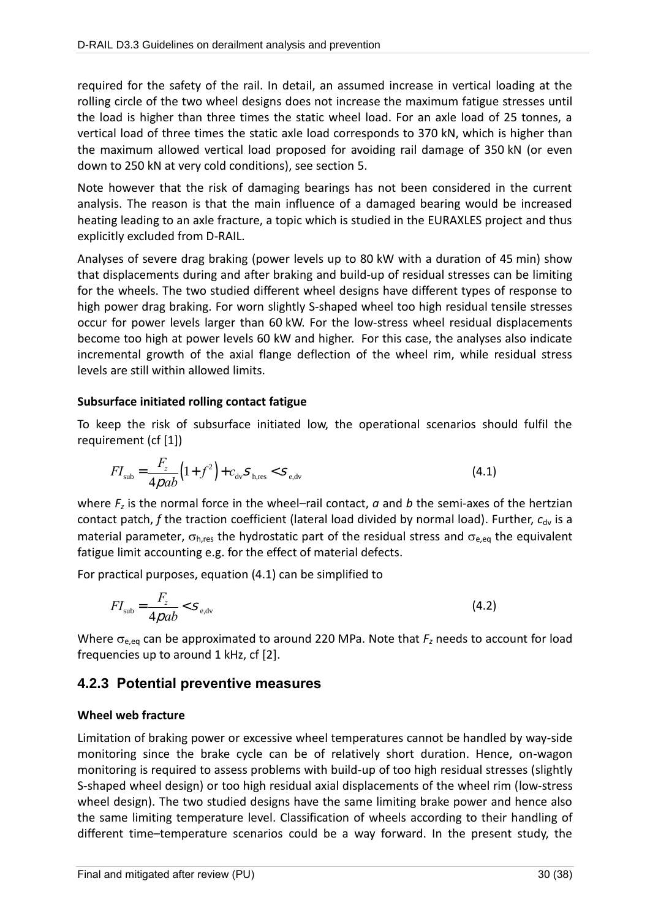required for the safety of the rail. In detail, an assumed increase in vertical loading at the rolling circle of the two wheel designs does not increase the maximum fatigue stresses until the load is higher than three times the static wheel load. For an axle load of 25 tonnes, a vertical load of three times the static axle load corresponds to 370 kN, which is higher than the maximum allowed vertical load proposed for avoiding rail damage of 350 kN (or even down to 250 kN at very cold conditions), see section 5.

Note however that the risk of damaging bearings has not been considered in the current analysis. The reason is that the main influence of a damaged bearing would be increased heating leading to an axle fracture, a topic which is studied in the EURAXLES project and thus explicitly excluded from D-RAIL.

Analyses of severe drag braking (power levels up to 80 kW with a duration of 45 min) show that displacements during and after braking and build-up of residual stresses can be limiting for the wheels. The two studied different wheel designs have different types of response to high power drag braking. For worn slightly S-shaped wheel too high residual tensile stresses occur for power levels larger than 60 kW. For the low-stress wheel residual displacements become too high at power levels 60 kW and higher. For this case, the analyses also indicate incremental growth of the axial flange deflection of the wheel rim, while residual stress levels are still within allowed limits.

### **Subsurface initiated rolling contact fatigue**

To keep the risk of subsurface initiated low, the operational scenarios should fulfil the requirement (cf [1])

$$
FI_{\rm sub} = \frac{F_z}{4 \rho a b} \left( 1 + f^2 \right) + c_{\rm dv} S_{\rm h, res} < S_{\rm e, dv} \tag{4.1}
$$

where *F<sup>z</sup>* is the normal force in the wheel–rail contact, *a* and *b* the semi-axes of the hertzian contact patch, *f* the traction coefficient (lateral load divided by normal load). Further,  $c_{\text{dv}}$  is a material parameter,  $\sigma_{hres}$  the hydrostatic part of the residual stress and  $\sigma_{e,eq}$  the equivalent fatigue limit accounting e.g. for the effect of material defects.

For practical purposes, equation (4.1) can be simplified to

$$
FI_{\rm sub} = \frac{F_z}{4 \rho a b} < S_{\rm e, dv} \tag{4.2}
$$

Where  $\sigma_{e,eq}$  can be approximated to around 220 MPa. Note that  $F_z$  needs to account for load frequencies up to around 1 kHz, cf [2].

### **4.2.3 Potential preventive measures**

### **Wheel web fracture**

Limitation of braking power or excessive wheel temperatures cannot be handled by way-side monitoring since the brake cycle can be of relatively short duration. Hence, on-wagon monitoring is required to assess problems with build-up of too high residual stresses (slightly S-shaped wheel design) or too high residual axial displacements of the wheel rim (low-stress wheel design). The two studied designs have the same limiting brake power and hence also the same limiting temperature level. Classification of wheels according to their handling of different time–temperature scenarios could be a way forward. In the present study, the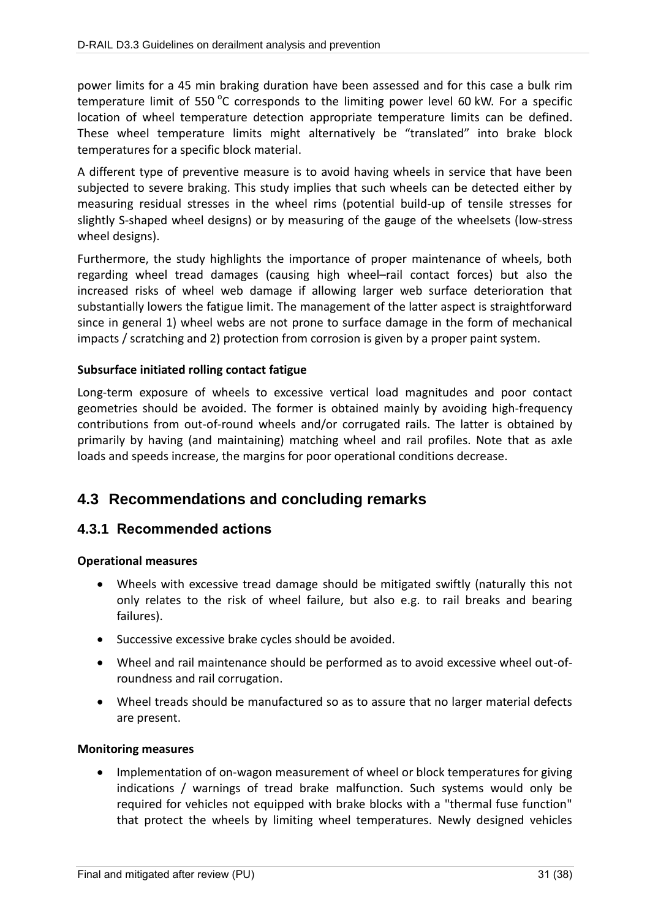power limits for a 45 min braking duration have been assessed and for this case a bulk rim temperature limit of 550 $\mathrm{^oC}$  corresponds to the limiting power level 60 kW. For a specific location of wheel temperature detection appropriate temperature limits can be defined. These wheel temperature limits might alternatively be "translated" into brake block temperatures for a specific block material.

A different type of preventive measure is to avoid having wheels in service that have been subjected to severe braking. This study implies that such wheels can be detected either by measuring residual stresses in the wheel rims (potential build-up of tensile stresses for slightly S-shaped wheel designs) or by measuring of the gauge of the wheelsets (low-stress wheel designs).

Furthermore, the study highlights the importance of proper maintenance of wheels, both regarding wheel tread damages (causing high wheel–rail contact forces) but also the increased risks of wheel web damage if allowing larger web surface deterioration that substantially lowers the fatigue limit. The management of the latter aspect is straightforward since in general 1) wheel webs are not prone to surface damage in the form of mechanical impacts / scratching and 2) protection from corrosion is given by a proper paint system.

### **Subsurface initiated rolling contact fatigue**

Long-term exposure of wheels to excessive vertical load magnitudes and poor contact geometries should be avoided. The former is obtained mainly by avoiding high-frequency contributions from out-of-round wheels and/or corrugated rails. The latter is obtained by primarily by having (and maintaining) matching wheel and rail profiles. Note that as axle loads and speeds increase, the margins for poor operational conditions decrease.

# **4.3 Recommendations and concluding remarks**

## **4.3.1 Recommended actions**

### **Operational measures**

- Wheels with excessive tread damage should be mitigated swiftly (naturally this not only relates to the risk of wheel failure, but also e.g. to rail breaks and bearing failures).
- Successive excessive brake cycles should be avoided.
- Wheel and rail maintenance should be performed as to avoid excessive wheel out-ofroundness and rail corrugation.
- Wheel treads should be manufactured so as to assure that no larger material defects are present.

#### **Monitoring measures**

• Implementation of on-wagon measurement of wheel or block temperatures for giving indications / warnings of tread brake malfunction. Such systems would only be required for vehicles not equipped with brake blocks with a "thermal fuse function" that protect the wheels by limiting wheel temperatures. Newly designed vehicles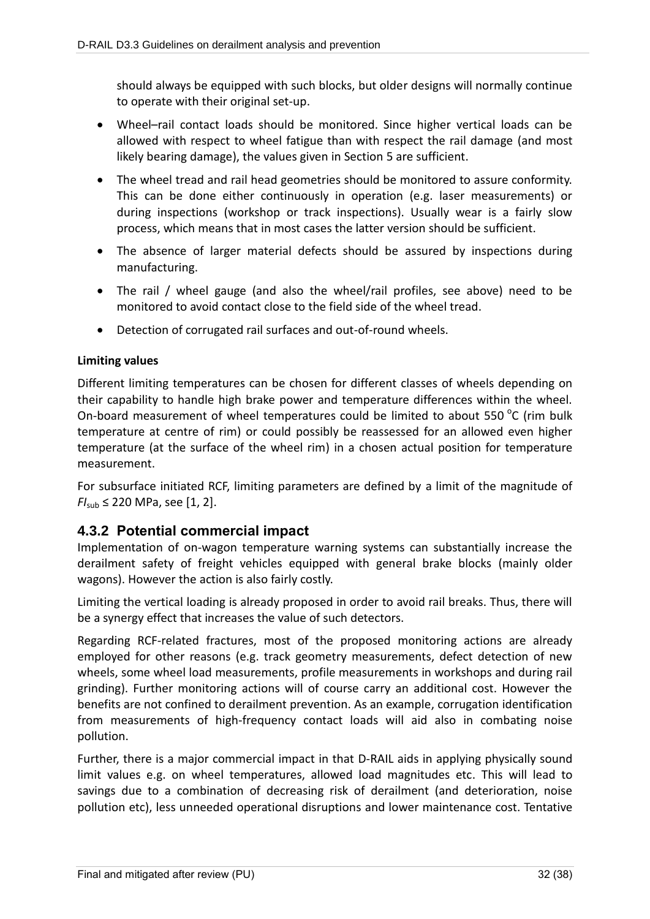should always be equipped with such blocks, but older designs will normally continue to operate with their original set-up.

- Wheel–rail contact loads should be monitored. Since higher vertical loads can be allowed with respect to wheel fatigue than with respect the rail damage (and most likely bearing damage), the values given in Section 5 are sufficient.
- The wheel tread and rail head geometries should be monitored to assure conformity. This can be done either continuously in operation (e.g. laser measurements) or during inspections (workshop or track inspections). Usually wear is a fairly slow process, which means that in most cases the latter version should be sufficient.
- The absence of larger material defects should be assured by inspections during manufacturing.
- The rail / wheel gauge (and also the wheel/rail profiles, see above) need to be monitored to avoid contact close to the field side of the wheel tread.
- Detection of corrugated rail surfaces and out-of-round wheels.

### **Limiting values**

Different limiting temperatures can be chosen for different classes of wheels depending on their capability to handle high brake power and temperature differences within the wheel. On-board measurement of wheel temperatures could be limited to about 550  $^{\circ}$ C (rim bulk temperature at centre of rim) or could possibly be reassessed for an allowed even higher temperature (at the surface of the wheel rim) in a chosen actual position for temperature measurement.

For subsurface initiated RCF, limiting parameters are defined by a limit of the magnitude of  $FI_{sub} \leq 220 \text{ MPa}$ , see [1, 2].

## **4.3.2 Potential commercial impact**

Implementation of on-wagon temperature warning systems can substantially increase the derailment safety of freight vehicles equipped with general brake blocks (mainly older wagons). However the action is also fairly costly.

Limiting the vertical loading is already proposed in order to avoid rail breaks. Thus, there will be a synergy effect that increases the value of such detectors.

Regarding RCF-related fractures, most of the proposed monitoring actions are already employed for other reasons (e.g. track geometry measurements, defect detection of new wheels, some wheel load measurements, profile measurements in workshops and during rail grinding). Further monitoring actions will of course carry an additional cost. However the benefits are not confined to derailment prevention. As an example, corrugation identification from measurements of high-frequency contact loads will aid also in combating noise pollution.

Further, there is a major commercial impact in that D-RAIL aids in applying physically sound limit values e.g. on wheel temperatures, allowed load magnitudes etc. This will lead to savings due to a combination of decreasing risk of derailment (and deterioration, noise pollution etc), less unneeded operational disruptions and lower maintenance cost. Tentative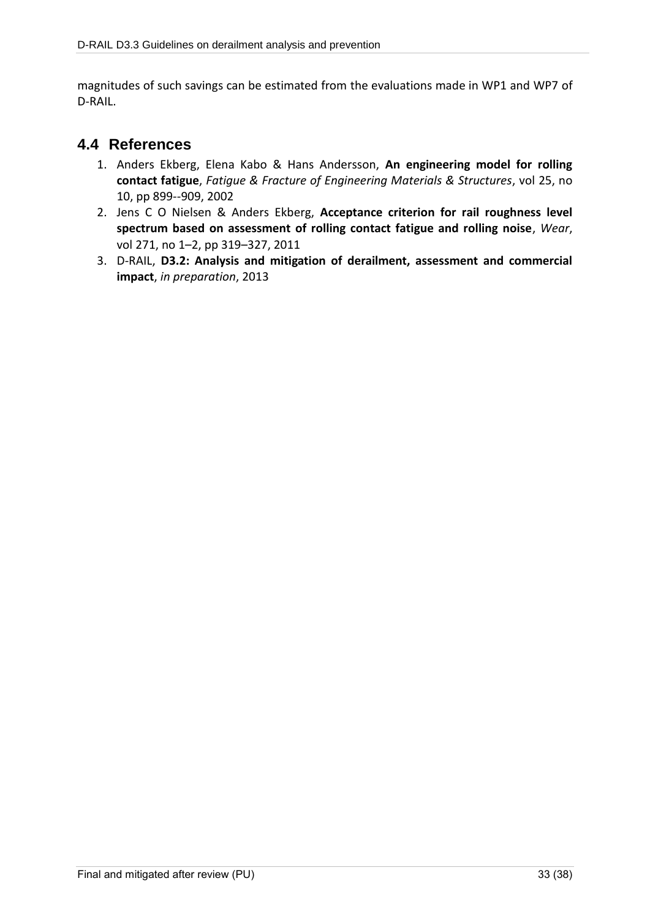magnitudes of such savings can be estimated from the evaluations made in WP1 and WP7 of D-RAIL.

## **4.4 References**

- 1. Anders Ekberg, Elena Kabo & Hans Andersson, **An engineering model for rolling contact fatigue**, *Fatigue & Fracture of Engineering Materials & Structures*, vol 25, no 10, pp 899--909, 2002
- 2. Jens C O Nielsen & Anders Ekberg, **Acceptance criterion for rail roughness level spectrum based on assessment of rolling contact fatigue and rolling noise**, *Wear*, vol 271, no 1–2, pp 319–327, 2011
- 3. D-RAIL, **D3.2: Analysis and mitigation of derailment, assessment and commercial impact**, *in preparation*, 2013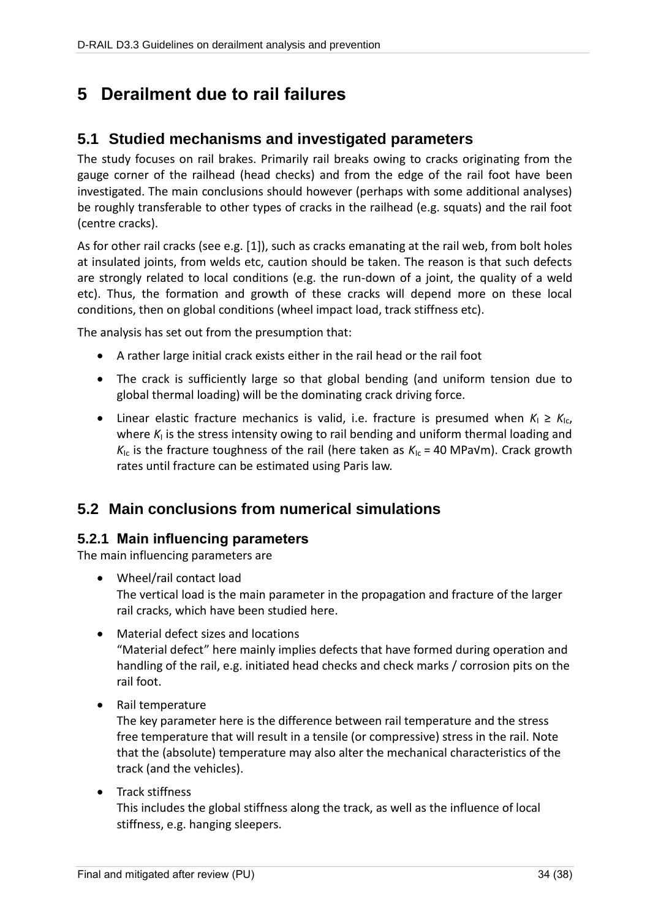# **5 Derailment due to rail failures**

## **5.1 Studied mechanisms and investigated parameters**

The study focuses on rail brakes. Primarily rail breaks owing to cracks originating from the gauge corner of the railhead (head checks) and from the edge of the rail foot have been investigated. The main conclusions should however (perhaps with some additional analyses) be roughly transferable to other types of cracks in the railhead (e.g. squats) and the rail foot (centre cracks).

As for other rail cracks (see e.g. [1]), such as cracks emanating at the rail web, from bolt holes at insulated joints, from welds etc, caution should be taken. The reason is that such defects are strongly related to local conditions (e.g. the run-down of a joint, the quality of a weld etc). Thus, the formation and growth of these cracks will depend more on these local conditions, then on global conditions (wheel impact load, track stiffness etc).

The analysis has set out from the presumption that:

- A rather large initial crack exists either in the rail head or the rail foot
- The crack is sufficiently large so that global bending (and uniform tension due to global thermal loading) will be the dominating crack driving force.
- Linear elastic fracture mechanics is valid, i.e. fracture is presumed when  $K_1 \geq K_{1c}$ , where K<sub>I</sub> is the stress intensity owing to rail bending and uniform thermal loading and  $K_{1c}$  is the fracture toughness of the rail (here taken as  $K_{1c}$  = 40 MPa $V$ m). Crack growth rates until fracture can be estimated using Paris law.

# **5.2 Main conclusions from numerical simulations**

## **5.2.1 Main influencing parameters**

The main influencing parameters are

- Wheel/rail contact load The vertical load is the main parameter in the propagation and fracture of the larger rail cracks, which have been studied here.
- Material defect sizes and locations "Material defect" here mainly implies defects that have formed during operation and handling of the rail, e.g. initiated head checks and check marks / corrosion pits on the rail foot.
- Rail temperature

The key parameter here is the difference between rail temperature and the stress free temperature that will result in a tensile (or compressive) stress in the rail. Note that the (absolute) temperature may also alter the mechanical characteristics of the track (and the vehicles).

• Track stiffness

This includes the global stiffness along the track, as well as the influence of local stiffness, e.g. hanging sleepers.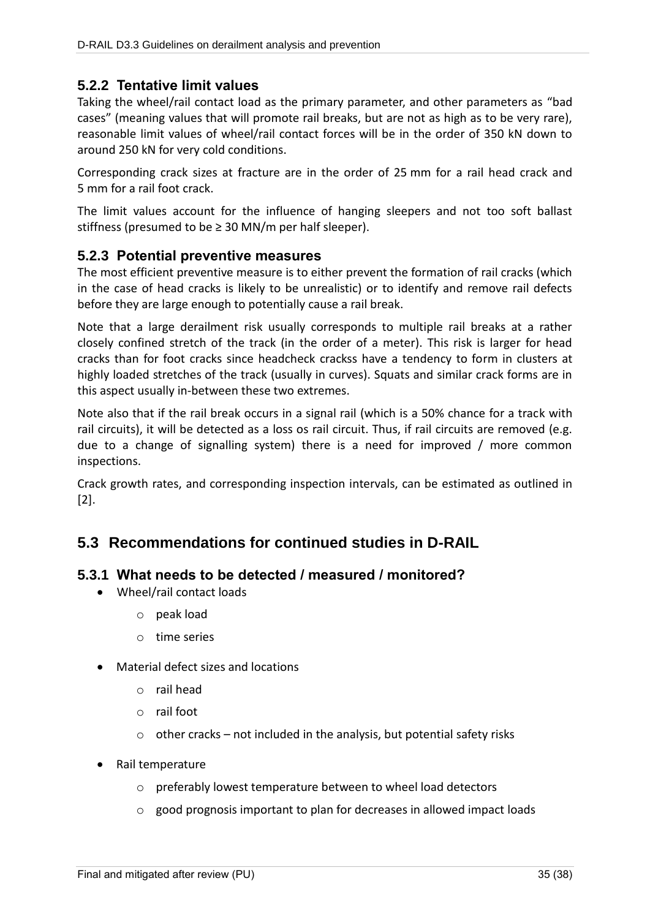### **5.2.2 Tentative limit values**

Taking the wheel/rail contact load as the primary parameter, and other parameters as "bad cases" (meaning values that will promote rail breaks, but are not as high as to be very rare), reasonable limit values of wheel/rail contact forces will be in the order of 350 kN down to around 250 kN for very cold conditions.

Corresponding crack sizes at fracture are in the order of 25 mm for a rail head crack and 5 mm for a rail foot crack.

The limit values account for the influence of hanging sleepers and not too soft ballast stiffness (presumed to be  $\geq$  30 MN/m per half sleeper).

### **5.2.3 Potential preventive measures**

The most efficient preventive measure is to either prevent the formation of rail cracks (which in the case of head cracks is likely to be unrealistic) or to identify and remove rail defects before they are large enough to potentially cause a rail break.

Note that a large derailment risk usually corresponds to multiple rail breaks at a rather closely confined stretch of the track (in the order of a meter). This risk is larger for head cracks than for foot cracks since headcheck crackss have a tendency to form in clusters at highly loaded stretches of the track (usually in curves). Squats and similar crack forms are in this aspect usually in-between these two extremes.

Note also that if the rail break occurs in a signal rail (which is a 50% chance for a track with rail circuits), it will be detected as a loss os rail circuit. Thus, if rail circuits are removed (e.g. due to a change of signalling system) there is a need for improved / more common inspections.

Crack growth rates, and corresponding inspection intervals, can be estimated as outlined in [2].

## **5.3 Recommendations for continued studies in D-RAIL**

### **5.3.1 What needs to be detected / measured / monitored?**

- Wheel/rail contact loads
	- o peak load
	- o time series
- Material defect sizes and locations
	- o rail head
	- o rail foot
	- $\circ$  other cracks not included in the analysis, but potential safety risks
- Rail temperature
	- o preferably lowest temperature between to wheel load detectors
	- o good prognosis important to plan for decreases in allowed impact loads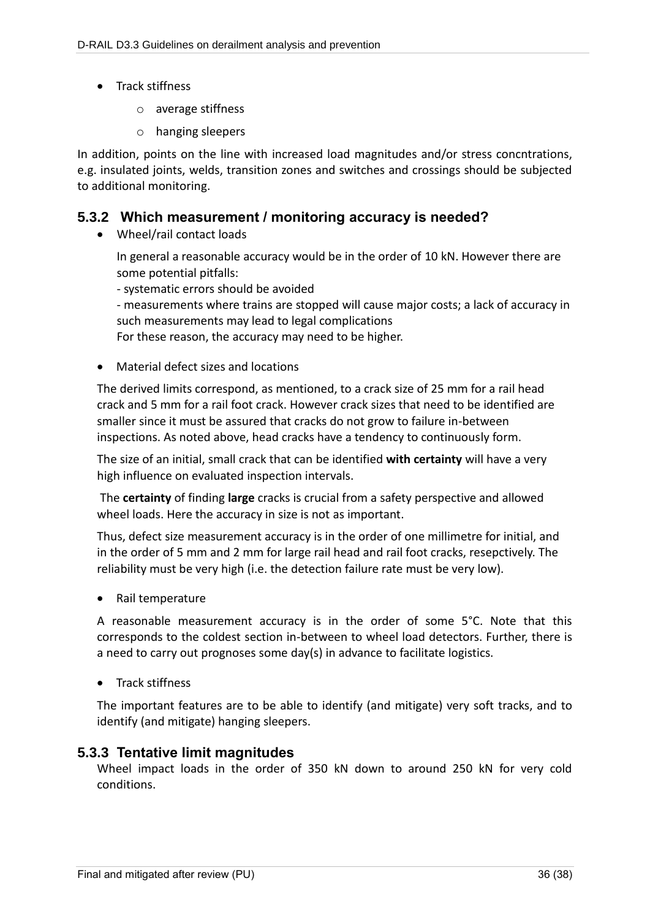- Track stiffness
	- o average stiffness
	- o hanging sleepers

In addition, points on the line with increased load magnitudes and/or stress concntrations, e.g. insulated joints, welds, transition zones and switches and crossings should be subjected to additional monitoring.

### **5.3.2 Which measurement / monitoring accuracy is needed?**

• Wheel/rail contact loads

In general a reasonable accuracy would be in the order of 10 kN. However there are some potential pitfalls:

- systematic errors should be avoided

- measurements where trains are stopped will cause major costs; a lack of accuracy in such measurements may lead to legal complications

For these reason, the accuracy may need to be higher.

• Material defect sizes and locations

The derived limits correspond, as mentioned, to a crack size of 25 mm for a rail head crack and 5 mm for a rail foot crack. However crack sizes that need to be identified are smaller since it must be assured that cracks do not grow to failure in-between inspections. As noted above, head cracks have a tendency to continuously form.

The size of an initial, small crack that can be identified **with certainty** will have a very high influence on evaluated inspection intervals.

The **certainty** of finding **large** cracks is crucial from a safety perspective and allowed wheel loads. Here the accuracy in size is not as important.

Thus, defect size measurement accuracy is in the order of one millimetre for initial, and in the order of 5 mm and 2 mm for large rail head and rail foot cracks, resepctively. The reliability must be very high (i.e. the detection failure rate must be very low).

Rail temperature

A reasonable measurement accuracy is in the order of some 5°C. Note that this corresponds to the coldest section in-between to wheel load detectors. Further, there is a need to carry out prognoses some day(s) in advance to facilitate logistics.

• Track stiffness

The important features are to be able to identify (and mitigate) very soft tracks, and to identify (and mitigate) hanging sleepers.

### **5.3.3 Tentative limit magnitudes**

Wheel impact loads in the order of 350 kN down to around 250 kN for very cold conditions.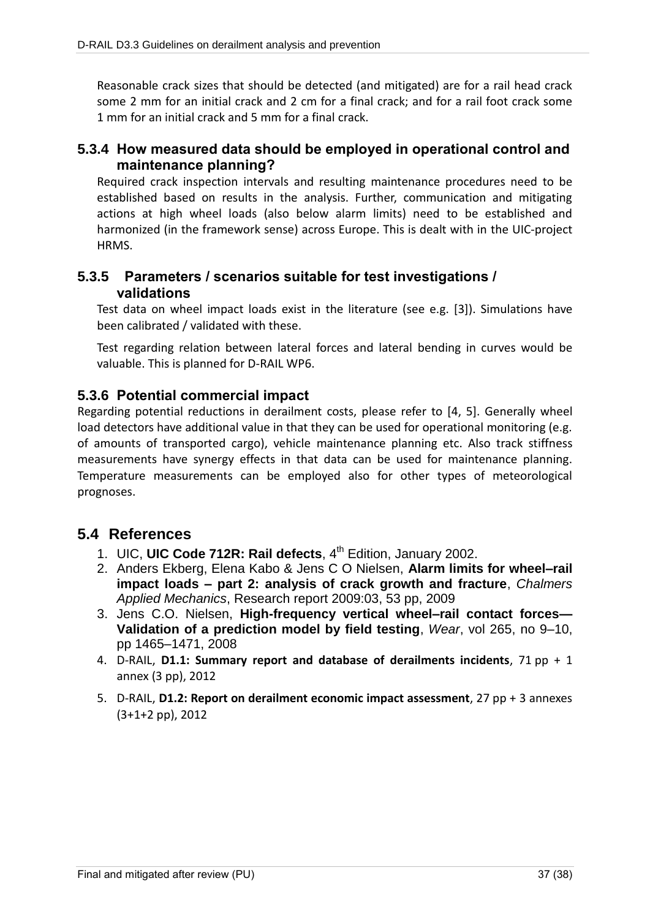Reasonable crack sizes that should be detected (and mitigated) are for a rail head crack some 2 mm for an initial crack and 2 cm for a final crack; and for a rail foot crack some 1 mm for an initial crack and 5 mm for a final crack.

### **5.3.4 How measured data should be employed in operational control and maintenance planning?**

Required crack inspection intervals and resulting maintenance procedures need to be established based on results in the analysis. Further, communication and mitigating actions at high wheel loads (also below alarm limits) need to be established and harmonized (in the framework sense) across Europe. This is dealt with in the UIC-project HRMS.

### **5.3.5 Parameters / scenarios suitable for test investigations / validations**

Test data on wheel impact loads exist in the literature (see e.g. [\[3\]](#page-36-0)). Simulations have been calibrated / validated with these.

Test regarding relation between lateral forces and lateral bending in curves would be valuable. This is planned for D-RAIL WP6.

### **5.3.6 Potential commercial impact**

Regarding potential reductions in derailment costs, please refer to [\[4,](#page-36-1) [5\]](#page-36-2). Generally wheel load detectors have additional value in that they can be used for operational monitoring (e.g. of amounts of transported cargo), vehicle maintenance planning etc. Also track stiffness measurements have synergy effects in that data can be used for maintenance planning. Temperature measurements can be employed also for other types of meteorological prognoses.

## **5.4 References**

- 1. UIC, UIC Code 712R: Rail defects, 4<sup>th</sup> Edition, January 2002.
- 2. Anders Ekberg, Elena Kabo & Jens C O Nielsen, **Alarm limits for wheel–rail impact loads – part 2: analysis of crack growth and fracture**, *Chalmers Applied Mechanics*, Research report 2009:03, 53 pp, 2009
- <span id="page-36-0"></span>3. Jens C.O. Nielsen, **High-frequency vertical wheel–rail contact forces— Validation of a prediction model by field testing**, *Wear*, vol 265, no 9–10, pp 1465–1471, 2008
- <span id="page-36-1"></span>4. D-RAIL, **D1.1: Summary report and database of derailments incidents**, 71 pp + 1 annex (3 pp), 2012
- <span id="page-36-2"></span>5. D-RAIL, **D1.2: Report on derailment economic impact assessment**, 27 pp + 3 annexes (3+1+2 pp), 2012